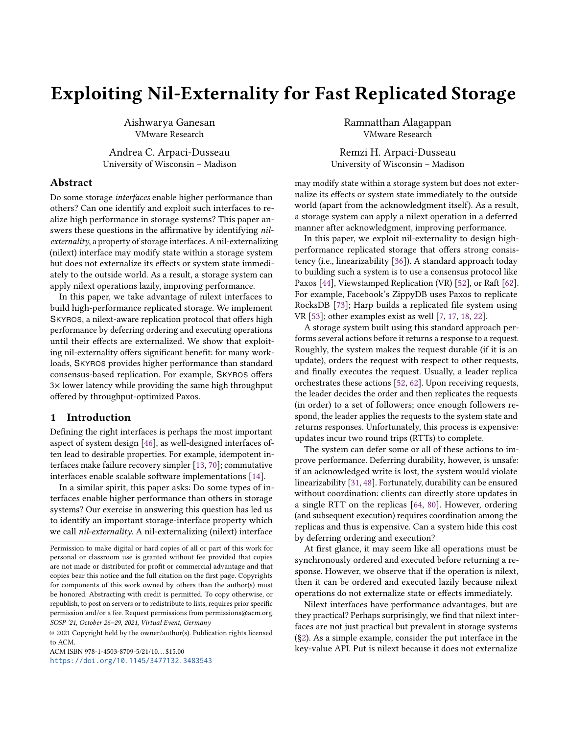# <span id="page-0-0"></span>Exploiting Nil-Externality for Fast Replicated Storage

Aishwarya Ganesan VMware Research

Andrea C. Arpaci-Dusseau University of Wisconsin – Madison

# Abstract

Do some storage interfaces enable higher performance than others? Can one identify and exploit such interfaces to realize high performance in storage systems? This paper answers these questions in the affirmative by identifying nilexternality, a property of storage interfaces. A nil-externalizing (nilext) interface may modify state within a storage system but does not externalize its effects or system state immediately to the outside world. As a result, a storage system can apply nilext operations lazily, improving performance.

In this paper, we take advantage of nilext interfaces to build high-performance replicated storage. We implement SKYROS, a nilext-aware replication protocol that offers high performance by deferring ordering and executing operations until their effects are externalized. We show that exploiting nil-externality offers significant benefit: for many workloads, SKYROS provides higher performance than standard consensus-based replication. For example, SKYROS offers 3× lower latency while providing the same high throughput offered by throughput-optimized Paxos.

# 1 Introduction

Defining the right interfaces is perhaps the most important aspect of system design [\[46\]](#page-15-0), as well-designed interfaces often lead to desirable properties. For example, idempotent interfaces make failure recovery simpler [\[13,](#page-14-0) [70\]](#page-15-1); commutative interfaces enable scalable software implementations [\[14\]](#page-14-1).

In a similar spirit, this paper asks: Do some types of interfaces enable higher performance than others in storage systems? Our exercise in answering this question has led us to identify an important storage-interface property which we call nil-externality. A nil-externalizing (nilext) interface

© 2021 Copyright held by the owner/author(s). Publication rights licensed to ACM.

ACM ISBN 978-1-4503-8709-5/21/10...\$15.00 <https://doi.org/10.1145/3477132.3483543> Ramnatthan Alagappan VMware Research

Remzi H. Arpaci-Dusseau University of Wisconsin – Madison

may modify state within a storage system but does not externalize its effects or system state immediately to the outside world (apart from the acknowledgment itself). As a result, a storage system can apply a nilext operation in a deferred manner after acknowledgment, improving performance.

In this paper, we exploit nil-externality to design highperformance replicated storage that offers strong consistency (i.e., linearizability [\[36\]](#page-15-2)). A standard approach today to building such a system is to use a consensus protocol like Paxos [\[44\]](#page-15-3), Viewstamped Replication (VR) [\[52\]](#page-15-4), or Raft [\[62\]](#page-15-5). For example, Facebook's ZippyDB uses Paxos to replicate RocksDB [\[73\]](#page-16-0); Harp builds a replicated file system using VR [\[53\]](#page-15-6); other examples exist as well [\[7,](#page-14-2) [17,](#page-14-3) [18,](#page-14-4) [22\]](#page-14-5).

A storage system built using this standard approach performs several actions before it returns a response to a request. Roughly, the system makes the request durable (if it is an update), orders the request with respect to other requests, and finally executes the request. Usually, a leader replica orchestrates these actions [\[52,](#page-15-4) [62\]](#page-15-5). Upon receiving requests, the leader decides the order and then replicates the requests (in order) to a set of followers; once enough followers respond, the leader applies the requests to the system state and returns responses. Unfortunately, this process is expensive: updates incur two round trips (RTTs) to complete.

The system can defer some or all of these actions to improve performance. Deferring durability, however, is unsafe: if an acknowledged write is lost, the system would violate linearizability [\[31,](#page-14-6) [48\]](#page-15-7). Fortunately, durability can be ensured without coordination: clients can directly store updates in a single RTT on the replicas [\[64,](#page-15-8) [80\]](#page-16-1). However, ordering (and subsequent execution) requires coordination among the replicas and thus is expensive. Can a system hide this cost by deferring ordering and execution?

At first glance, it may seem like all operations must be synchronously ordered and executed before returning a response. However, we observe that if the operation is nilext, then it can be ordered and executed lazily because nilext operations do not externalize state or effects immediately.

Nilext interfaces have performance advantages, but are they practical? Perhaps surprisingly, we find that nilext interfaces are not just practical but prevalent in storage systems ([§2\)](#page-2-0). As a simple example, consider the put interface in the key-value API. Put is nilext because it does not externalize

Permission to make digital or hard copies of all or part of this work for personal or classroom use is granted without fee provided that copies are not made or distributed for profit or commercial advantage and that copies bear this notice and the full citation on the first page. Copyrights for components of this work owned by others than the author(s) must be honored. Abstracting with credit is permitted. To copy otherwise, or republish, to post on servers or to redistribute to lists, requires prior specific permission and/or a fee. Request permissions from permissions@acm.org. SOSP '21, October 26–29, 2021, Virtual Event, Germany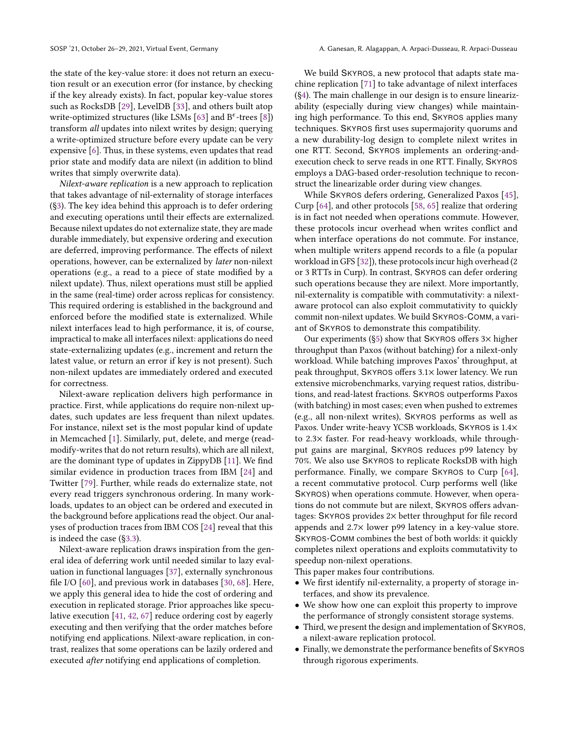the state of the key-value store: it does not return an execution result or an execution error (for instance, by checking if the key already exists). In fact, popular key-value stores such as RocksDB [\[29\]](#page-14-7), LevelDB [\[33\]](#page-14-8), and others built atop write-optimized structures (like LSMs [\[63\]](#page-15-9) and  $B^{\epsilon}$ -trees [\[8\]](#page-14-9)) transform all updates into nilext writes by design; querying a write-optimized structure before every update can be very expensive [\[6\]](#page-14-10). Thus, in these systems, even updates that read prior state and modify data are nilext (in addition to blind writes that simply overwrite data).

Nilext-aware replication is a new approach to replication that takes advantage of nil-externality of storage interfaces ([§3\)](#page-2-1). The key idea behind this approach is to defer ordering and executing operations until their effects are externalized. Because nilext updates do not externalize state, they are made durable immediately, but expensive ordering and execution are deferred, improving performance. The effects of nilext operations, however, can be externalized by later non-nilext operations (e.g., a read to a piece of state modified by a nilext update). Thus, nilext operations must still be applied in the same (real-time) order across replicas for consistency. This required ordering is established in the background and enforced before the modified state is externalized. While nilext interfaces lead to high performance, it is, of course, impractical to make all interfaces nilext: applications do need state-externalizing updates (e.g., increment and return the latest value, or return an error if key is not present). Such non-nilext updates are immediately ordered and executed for correctness.

Nilext-aware replication delivers high performance in practice. First, while applications do require non-nilext updates, such updates are less frequent than nilext updates. For instance, nilext set is the most popular kind of update in Memcached [\[1\]](#page-14-11). Similarly, put, delete, and merge (readmodify-writes that do not return results), which are all nilext, are the dominant type of updates in ZippyDB [\[11\]](#page-14-12). We find similar evidence in production traces from IBM [\[24\]](#page-14-13) and Twitter [\[79\]](#page-16-2). Further, while reads do externalize state, not every read triggers synchronous ordering. In many workloads, updates to an object can be ordered and executed in the background before applications read the object. Our analyses of production traces from IBM COS [\[24\]](#page-14-13) reveal that this is indeed the case ([§3.3\)](#page-3-0).

Nilext-aware replication draws inspiration from the general idea of deferring work until needed similar to lazy evaluation in functional languages [\[37\]](#page-15-10), externally synchronous file I/O [\[60\]](#page-15-11), and previous work in databases [\[30,](#page-14-14) [68\]](#page-15-12). Here, we apply this general idea to hide the cost of ordering and execution in replicated storage. Prior approaches like speculative execution [\[41,](#page-15-13) [42,](#page-15-14) [67\]](#page-15-15) reduce ordering cost by eagerly executing and then verifying that the order matches before notifying end applications. Nilext-aware replication, in contrast, realizes that some operations can be lazily ordered and executed after notifying end applications of completion.

We build SKYROS, a new protocol that adapts state machine replication [\[71\]](#page-16-3) to take advantage of nilext interfaces ([§4\)](#page-5-0). The main challenge in our design is to ensure linearizability (especially during view changes) while maintaining high performance. To this end, SKYROS applies many techniques. SKYROS first uses supermajority quorums and a new durability-log design to complete nilext writes in one RTT. Second, SKYROS implements an ordering-andexecution check to serve reads in one RTT. Finally, SKYROS employs a DAG-based order-resolution technique to reconstruct the linearizable order during view changes.

While SKYROS defers ordering, Generalized Paxos [\[45\]](#page-15-16), Curp [\[64\]](#page-15-8), and other protocols [\[58,](#page-15-17) [65\]](#page-15-18) realize that ordering is in fact not needed when operations commute. However, these protocols incur overhead when writes conflict and when interface operations do not commute. For instance, when multiple writers append records to a file (a popular workload in GFS [\[32\]](#page-14-15)), these protocols incur high overhead (2 or 3 RTTs in Curp). In contrast, SKYROS can defer ordering such operations because they are nilext. More importantly, nil-externality is compatible with commutativity: a nilextaware protocol can also exploit commutativity to quickly commit non-nilext updates. We build SKYROS-COMM, a variant of SKYROS to demonstrate this compatibility.

Our experiments  $(S_5)$  show that SKYROS offers  $3\times$  higher throughput than Paxos (without batching) for a nilext-only workload. While batching improves Paxos' throughput, at peak throughput, SKYROS offers 3.1× lower latency. We run extensive microbenchmarks, varying request ratios, distributions, and read-latest fractions. SKYROS outperforms Paxos (with batching) in most cases; even when pushed to extremes (e.g., all non-nilext writes), SKYROS performs as well as Paxos. Under write-heavy YCSB workloads, SKYROS is 1.4× to 2.3× faster. For read-heavy workloads, while throughput gains are marginal, SKYROS reduces p99 latency by 70%. We also use SKYROS to replicate RocksDB with high performance. Finally, we compare SKYROS to Curp [\[64\]](#page-15-8), a recent commutative protocol. Curp performs well (like SKYROS) when operations commute. However, when operations do not commute but are nilext, SKYROS offers advantages: SKYROS provides 2× better throughput for file record appends and 2.7× lower p99 latency in a key-value store. SKYROS-COMM combines the best of both worlds: it quickly completes nilext operations and exploits commutativity to speedup non-nilext operations.

This paper makes four contributions.

- We first identify nil-externality, a property of storage interfaces, and show its prevalence.
- We show how one can exploit this property to improve the performance of strongly consistent storage systems.
- Third, we present the design and implementation of SKYROS, a nilext-aware replication protocol.
- Finally, we demonstrate the performance benefits of SKYROS through rigorous experiments.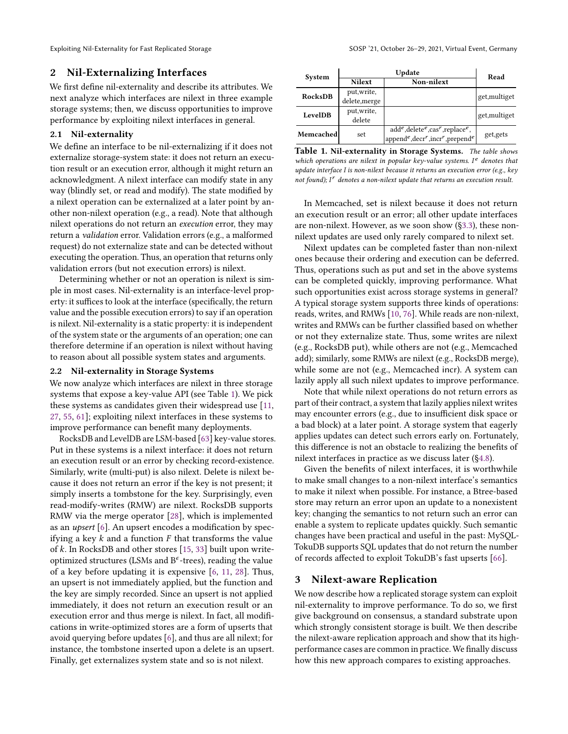# <span id="page-2-0"></span>2 Nil-Externalizing Interfaces

We first define nil-externality and describe its attributes. We next analyze which interfaces are nilext in three example storage systems; then, we discuss opportunities to improve performance by exploiting nilext interfaces in general.

#### 2.1 Nil-externality

We define an interface to be nil-externalizing if it does not externalize storage-system state: it does not return an execution result or an execution error, although it might return an acknowledgment. A nilext interface can modify state in any way (blindly set, or read and modify). The state modified by a nilext operation can be externalized at a later point by another non-nilext operation (e.g., a read). Note that although nilext operations do not return an execution error, they may return a validation error. Validation errors (e.g., a malformed request) do not externalize state and can be detected without executing the operation. Thus, an operation that returns only validation errors (but not execution errors) is nilext.

Determining whether or not an operation is nilext is simple in most cases. Nil-externality is an interface-level property: it suffices to look at the interface (specifically, the return value and the possible execution errors) to say if an operation is nilext. Nil-externality is a static property: it is independent of the system state or the arguments of an operation; one can therefore determine if an operation is nilext without having to reason about all possible system states and arguments.

## 2.2 Nil-externality in Storage Systems

We now analyze which interfaces are nilext in three storage systems that expose a key-value API (see Table [1\)](#page-2-2). We pick these systems as candidates given their widespread use [\[11,](#page-14-12) [27,](#page-14-16) [55,](#page-15-19) [61\]](#page-15-20); exploiting nilext interfaces in these systems to improve performance can benefit many deployments.

RocksDB and LevelDB are LSM-based [\[63\]](#page-15-9) key-value stores. Put in these systems is a nilext interface: it does not return an execution result or an error by checking record-existence. Similarly, write (multi-put) is also nilext. Delete is nilext because it does not return an error if the key is not present; it simply inserts a tombstone for the key. Surprisingly, even read-modify-writes (RMW) are nilext. RocksDB supports RMW via the merge operator [\[28\]](#page-14-17), which is implemented as an upsert [\[6\]](#page-14-10). An upsert encodes a modification by specifying a key  $k$  and a function  $F$  that transforms the value of  $k$ . In RocksDB and other stores [\[15,](#page-14-18) [33\]](#page-14-8) built upon writeoptimized structures (LSMs and  $B^{\epsilon}$ -trees), reading the value of a key before updating it is expensive [\[6,](#page-14-10) [11,](#page-14-12) [28\]](#page-14-17). Thus, an upsert is not immediately applied, but the function and the key are simply recorded. Since an upsert is not applied immediately, it does not return an execution result or an execution error and thus merge is nilext. In fact, all modifications in write-optimized stores are a form of upserts that avoid querying before updates [\[6\]](#page-14-10), and thus are all nilext; for instance, the tombstone inserted upon a delete is an upsert. Finally, get externalizes system state and so is not nilext.

<span id="page-2-2"></span>

| System    | Update        |                                      | Read          |
|-----------|---------------|--------------------------------------|---------------|
|           | <b>Nilext</b> | Non-nilext                           |               |
| RocksDB   | put, write,   |                                      | get, multiget |
|           | delete, merge |                                      |               |
| LevelDB   | put, write,   |                                      | get, multiget |
|           | delete        |                                      |               |
| Memcached | set           | $add^e, delete^e, cas^r, replace^e,$ | get, gets     |
|           |               | appende, decr'', incr'', prepende    |               |

Table 1. Nil-externality in Storage Systems. The table shows which operations are nilext in popular key-value systems. I<sup>e</sup> denotes that update interface I is non-nilext because it returns an execution error (e.g., key not found);  $I<sup>r</sup>$  denotes a non-nilext update that returns an execution result.

In Memcached, set is nilext because it does not return an execution result or an error; all other update interfaces are non-nilext. However, as we soon show ([§3.3\)](#page-3-0), these nonnilext updates are used only rarely compared to nilext set.

Nilext updates can be completed faster than non-nilext ones because their ordering and execution can be deferred. Thus, operations such as put and set in the above systems can be completed quickly, improving performance. What such opportunities exist across storage systems in general? A typical storage system supports three kinds of operations: reads, writes, and RMWs [\[10,](#page-14-19) [76\]](#page-16-4). While reads are non-nilext, writes and RMWs can be further classified based on whether or not they externalize state. Thus, some writes are nilext (e.g., RocksDB put), while others are not (e.g., Memcached add); similarly, some RMWs are nilext (e.g., RocksDB merge), while some are not (e.g., Memcached incr). A system can lazily apply all such nilext updates to improve performance.

Note that while nilext operations do not return errors as part of their contract, a system that lazily applies nilext writes may encounter errors (e.g., due to insufficient disk space or a bad block) at a later point. A storage system that eagerly applies updates can detect such errors early on. Fortunately, this difference is not an obstacle to realizing the benefits of nilext interfaces in practice as we discuss later ([§4.8\)](#page-8-0).

Given the benefits of nilext interfaces, it is worthwhile to make small changes to a non-nilext interface's semantics to make it nilext when possible. For instance, a Btree-based store may return an error upon an update to a nonexistent key; changing the semantics to not return such an error can enable a system to replicate updates quickly. Such semantic changes have been practical and useful in the past: MySQL-TokuDB supports SQL updates that do not return the number of records affected to exploit TokuDB's fast upserts [\[66\]](#page-15-21).

# <span id="page-2-1"></span>3 Nilext-aware Replication

We now describe how a replicated storage system can exploit nil-externality to improve performance. To do so, we first give background on consensus, a standard substrate upon which strongly consistent storage is built. We then describe the nilext-aware replication approach and show that its highperformance cases are common in practice. We finally discuss how this new approach compares to existing approaches.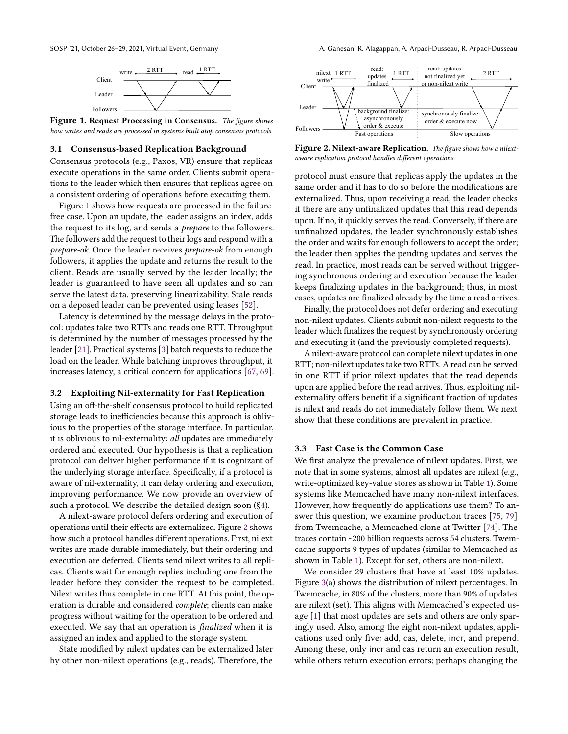<span id="page-3-1"></span>

Figure 1. Request Processing in Consensus. The figure shows how writes and reads are processed in systems built atop consensus protocols.

#### 3.1 Consensus-based Replication Background

Consensus protocols (e.g., Paxos, VR) ensure that replicas execute operations in the same order. Clients submit operations to the leader which then ensures that replicas agree on a consistent ordering of operations before executing them.

Figure [1](#page-3-1) shows how requests are processed in the failurefree case. Upon an update, the leader assigns an index, adds the request to its log, and sends a prepare to the followers. The followers add the request to their logs and respond with a prepare-ok. Once the leader receives prepare-ok from enough followers, it applies the update and returns the result to the client. Reads are usually served by the leader locally; the leader is guaranteed to have seen all updates and so can serve the latest data, preserving linearizability. Stale reads on a deposed leader can be prevented using leases [\[52\]](#page-15-4).

Latency is determined by the message delays in the protocol: updates take two RTTs and reads one RTT. Throughput is determined by the number of messages processed by the leader [\[21\]](#page-14-20). Practical systems [\[3\]](#page-14-21) batch requests to reduce the load on the leader. While batching improves throughput, it increases latency, a critical concern for applications [\[67,](#page-15-15) [69\]](#page-15-22).

#### 3.2 Exploiting Nil-externality for Fast Replication

Using an off-the-shelf consensus protocol to build replicated storage leads to inefficiencies because this approach is oblivious to the properties of the storage interface. In particular, it is oblivious to nil-externality: all updates are immediately ordered and executed. Our hypothesis is that a replication protocol can deliver higher performance if it is cognizant of the underlying storage interface. Specifically, if a protocol is aware of nil-externality, it can delay ordering and execution, improving performance. We now provide an overview of such a protocol. We describe the detailed design soon ([§4\)](#page-5-0).

A nilext-aware protocol defers ordering and execution of operations until their effects are externalized. Figure [2](#page-3-2) shows how such a protocol handles different operations. First, nilext writes are made durable immediately, but their ordering and execution are deferred. Clients send nilext writes to all replicas. Clients wait for enough replies including one from the leader before they consider the request to be completed. Nilext writes thus complete in one RTT. At this point, the operation is durable and considered complete; clients can make progress without waiting for the operation to be ordered and executed. We say that an operation is finalized when it is assigned an index and applied to the storage system.

State modified by nilext updates can be externalized later by other non-nilext operations (e.g., reads). Therefore, the

<span id="page-3-2"></span>

Figure 2. Nilext-aware Replication. The figure shows how a nilextaware replication protocol handles different operations.

protocol must ensure that replicas apply the updates in the same order and it has to do so before the modifications are externalized. Thus, upon receiving a read, the leader checks if there are any unfinalized updates that this read depends upon. If no, it quickly serves the read. Conversely, if there are unfinalized updates, the leader synchronously establishes the order and waits for enough followers to accept the order; the leader then applies the pending updates and serves the read. In practice, most reads can be served without triggering synchronous ordering and execution because the leader keeps finalizing updates in the background; thus, in most cases, updates are finalized already by the time a read arrives.

Finally, the protocol does not defer ordering and executing non-nilext updates. Clients submit non-nilext requests to the leader which finalizes the request by synchronously ordering and executing it (and the previously completed requests).

A nilext-aware protocol can complete nilext updates in one RTT; non-nilext updates take two RTTs. A read can be served in one RTT if prior nilext updates that the read depends upon are applied before the read arrives. Thus, exploiting nilexternality offers benefit if a significant fraction of updates is nilext and reads do not immediately follow them. We next show that these conditions are prevalent in practice.

## <span id="page-3-0"></span>3.3 Fast Case is the Common Case

We first analyze the prevalence of nilext updates. First, we note that in some systems, almost all updates are nilext (e.g., write-optimized key-value stores as shown in Table [1\)](#page-2-2). Some systems like Memcached have many non-nilext interfaces. However, how frequently do applications use them? To answer this question, we examine production traces [\[75,](#page-16-5) [79\]](#page-16-2) from Twemcache, a Memcached clone at Twitter [\[74\]](#page-16-6). The traces contain ~200 billion requests across 54 clusters. Twemcache supports 9 types of updates (similar to Memcached as shown in Table [1\)](#page-2-2). Except for set, others are non-nilext.

We consider 29 clusters that have at least 10% updates. Figure [3\(](#page-4-0)a) shows the distribution of nilext percentages. In Twemcache, in 80% of the clusters, more than 90% of updates are nilext (set). This aligns with Memcached's expected usage [\[1\]](#page-14-11) that most updates are sets and others are only sparingly used. Also, among the eight non-nilext updates, applications used only five: add, cas, delete, incr, and prepend. Among these, only incr and cas return an execution result, while others return execution errors; perhaps changing the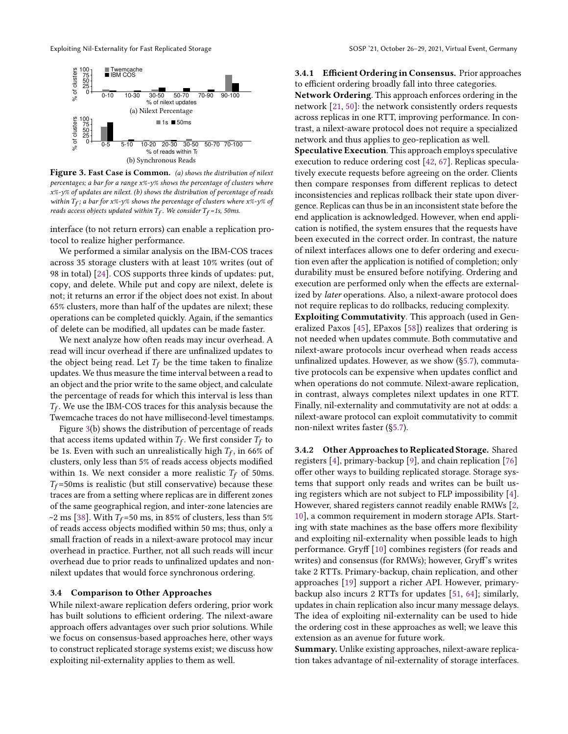<span id="page-4-0"></span>

Figure 3. Fast Case is Common. (a) shows the distribution of nilext percentages; a bar for a range x%-y% shows the percentage of clusters where x%-y% of updates are nilext. (b) shows the distribution of percentage of reads within  $T_f$ ; a bar for x%-y% shows the percentage of clusters where x%-y% of reads access objects updated within  $T_f$ . We consider  $T_f$ =1s, 50ms.

interface (to not return errors) can enable a replication protocol to realize higher performance.

We performed a similar analysis on the IBM-COS traces across 35 storage clusters with at least 10% writes (out of 98 in total) [\[24\]](#page-14-13). COS supports three kinds of updates: put, copy, and delete. While put and copy are nilext, delete is not; it returns an error if the object does not exist. In about 65% clusters, more than half of the updates are nilext; these operations can be completed quickly. Again, if the semantics of delete can be modified, all updates can be made faster.

We next analyze how often reads may incur overhead. A read will incur overhead if there are unfinalized updates to the object being read. Let  $T_f$  be the time taken to finalize updates. We thus measure the time interval between a read to an object and the prior write to the same object, and calculate the percentage of reads for which this interval is less than  $T_f$ . We use the IBM-COS traces for this analysis because the Twemcache traces do not have millisecond-level timestamps.

Figure [3\(](#page-4-0)b) shows the distribution of percentage of reads that access items updated within  $T_f$ . We first consider  $T_f$  to be 1s. Even with such an unrealistically high  $T_f$ , in 66% of clusters, only less than 5% of reads access objects modified within 1s. We next consider a more realistic  $T_f$  of 50ms.  $T_f$ =50ms is realistic (but still conservative) because these traces are from a setting where replicas are in different zones of the same geographical region, and inter-zone latencies are ~2 ms [\[38\]](#page-15-23). With  $T_f$ =50 ms, in 85% of clusters, less than 5% of reads access objects modified within 50 ms; thus, only a small fraction of reads in a nilext-aware protocol may incur overhead in practice. Further, not all such reads will incur overhead due to prior reads to unfinalized updates and nonnilext updates that would force synchronous ordering.

#### 3.4 Comparison to Other Approaches

While nilext-aware replication defers ordering, prior work has built solutions to efficient ordering. The nilext-aware approach offers advantages over such prior solutions. While we focus on consensus-based approaches here, other ways to construct replicated storage systems exist; we discuss how exploiting nil-externality applies to them as well.

<span id="page-4-1"></span>3.4.1 Efficient Ordering in Consensus. Prior approaches to efficient ordering broadly fall into three categories.

Network Ordering. This approach enforces ordering in the network [\[21,](#page-14-20) [50\]](#page-15-24): the network consistently orders requests across replicas in one RTT, improving performance. In contrast, a nilext-aware protocol does not require a specialized network and thus applies to geo-replication as well.

Speculative Execution. This approach employs speculative execution to reduce ordering cost [\[42,](#page-15-14) [67\]](#page-15-15). Replicas speculatively execute requests before agreeing on the order. Clients then compare responses from different replicas to detect inconsistencies and replicas rollback their state upon divergence. Replicas can thus be in an inconsistent state before the end application is acknowledged. However, when end application is notified, the system ensures that the requests have been executed in the correct order. In contrast, the nature of nilext interfaces allows one to defer ordering and execution even after the application is notified of completion; only durability must be ensured before notifying. Ordering and execution are performed only when the effects are externalized by later operations. Also, a nilext-aware protocol does not require replicas to do rollbacks, reducing complexity.

Exploiting Commutativity. This approach (used in Generalized Paxos [\[45\]](#page-15-16), EPaxos [\[58\]](#page-15-17)) realizes that ordering is not needed when updates commute. Both commutative and nilext-aware protocols incur overhead when reads access unfinalized updates. However, as we show ([§5.7\)](#page-11-0), commutative protocols can be expensive when updates conflict and when operations do not commute. Nilext-aware replication, in contrast, always completes nilext updates in one RTT. Finally, nil-externality and commutativity are not at odds: a nilext-aware protocol can exploit commutativity to commit non-nilext writes faster ([§5.7\)](#page-11-0).

3.4.2 Other Approaches to Replicated Storage. Shared registers [\[4\]](#page-14-22), primary-backup [\[9\]](#page-14-23), and chain replication [\[76\]](#page-16-4) offer other ways to building replicated storage. Storage systems that support only reads and writes can be built using registers which are not subject to FLP impossibility [\[4\]](#page-14-22). However, shared registers cannot readily enable RMWs [\[2,](#page-14-24) [10\]](#page-14-19), a common requirement in modern storage APIs. Starting with state machines as the base offers more flexibility and exploiting nil-externality when possible leads to high performance. Gryff [\[10\]](#page-14-19) combines registers (for reads and writes) and consensus (for RMWs); however, Gryff's writes take 2 RTTs. Primary-backup, chain replication, and other approaches [\[19\]](#page-14-25) support a richer API. However, primarybackup also incurs 2 RTTs for updates [\[51,](#page-15-25) [64\]](#page-15-8); similarly, updates in chain replication also incur many message delays. The idea of exploiting nil-externality can be used to hide the ordering cost in these approaches as well; we leave this extension as an avenue for future work.

Summary. Unlike existing approaches, nilext-aware replication takes advantage of nil-externality of storage interfaces.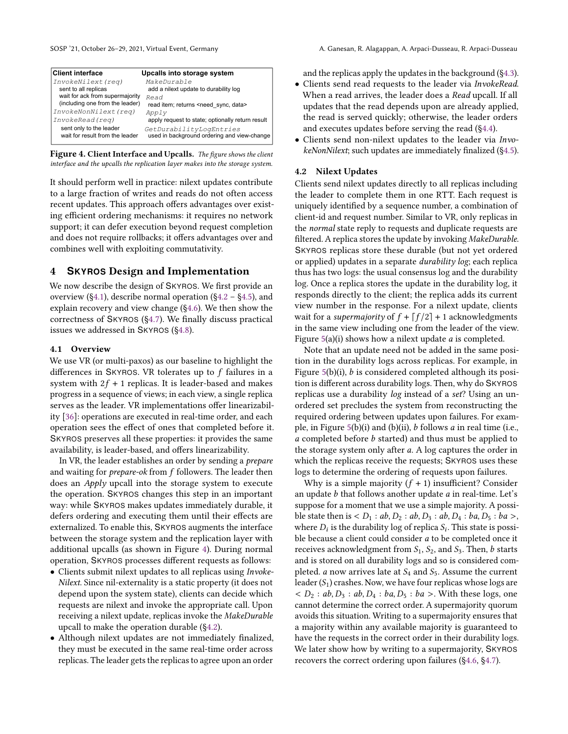<span id="page-5-3"></span>

| <b>Client interface</b>                                    | Upcalls into storage system                                            |
|------------------------------------------------------------|------------------------------------------------------------------------|
| InvokeNilext (reg)                                         | MakeDurable                                                            |
| sent to all replicas                                       | add a nilext update to durability log                                  |
| wait for ack from supermajority                            | Read                                                                   |
| (including one from the leader)                            | read item; returns <need data="" sync,=""></need>                      |
| InvokeNonNilext (req)                                      | Apply                                                                  |
| InvokeRead (reg)                                           | apply request to state; optionally return result                       |
| sent only to the leader<br>wait for result from the leader | GetDurabilityLogEntries<br>used in background ordering and view-change |
|                                                            |                                                                        |

Figure 4. Client Interface and Upcalls. The figure shows the client interface and the upcalls the replication layer makes into the storage system.

It should perform well in practice: nilext updates contribute to a large fraction of writes and reads do not often access recent updates. This approach offers advantages over existing efficient ordering mechanisms: it requires no network support; it can defer execution beyond request completion and does not require rollbacks; it offers advantages over and combines well with exploiting commutativity.

# <span id="page-5-0"></span>4 **SKYROS** Design and Implementation

We now describe the design of SKYROS. We first provide an overview ([§4.1\)](#page-5-1), describe normal operation ([§4.2](#page-5-2) – [§4.5\)](#page-6-0), and explain recovery and view change ([§4.6\)](#page-6-1). We then show the correctness of SKYROS ([§4.7\)](#page-8-1). We finally discuss practical issues we addressed in SKYROS ([§4.8\)](#page-8-0).

#### <span id="page-5-1"></span>4.1 Overview

We use VR (or multi-paxos) as our baseline to highlight the differences in SKYROS. VR tolerates up to  $f$  failures in a system with  $2f + 1$  replicas. It is leader-based and makes progress in a sequence of views; in each view, a single replica serves as the leader. VR implementations offer linearizability [\[36\]](#page-15-2): operations are executed in real-time order, and each operation sees the effect of ones that completed before it. SKYROS preserves all these properties: it provides the same availability, is leader-based, and offers linearizability.

In VR, the leader establishes an order by sending a prepare and waiting for *prepare-ok* from  $f$  followers. The leader then does an Apply upcall into the storage system to execute the operation. SKYROS changes this step in an important way: while SKYROS makes updates immediately durable, it defers ordering and executing them until their effects are externalized. To enable this, SKYROS augments the interface between the storage system and the replication layer with additional upcalls (as shown in Figure [4\)](#page-5-3). During normal operation, SKYROS processes different requests as follows:

- Clients submit nilext updates to all replicas using Invoke-Nilext. Since nil-externality is a static property (it does not depend upon the system state), clients can decide which requests are nilext and invoke the appropriate call. Upon receiving a nilext update, replicas invoke the MakeDurable upcall to make the operation durable ([§4.2\)](#page-5-2).
- Although nilext updates are not immediately finalized, they must be executed in the same real-time order across replicas. The leader gets the replicas to agree upon an order

and the replicas apply the updates in the background ([§4.3\)](#page-6-2).

- Clients send read requests to the leader via InvokeRead. When a read arrives, the leader does a Read upcall. If all updates that the read depends upon are already applied, the read is served quickly; otherwise, the leader orders and executes updates before serving the read ([§4.4\)](#page-6-3).
- Clients send non-nilext updates to the leader via InvokeNonNilext; such updates are immediately finalized ([§4.5\)](#page-6-0).

### <span id="page-5-2"></span>4.2 Nilext Updates

Clients send nilext updates directly to all replicas including the leader to complete them in one RTT. Each request is uniquely identified by a sequence number, a combination of client-id and request number. Similar to VR, only replicas in the normal state reply to requests and duplicate requests are filtered. A replica stores the update by invoking MakeDurable. SKYROS replicas store these durable (but not yet ordered or applied) updates in a separate *durability log*; each replica thus has two logs: the usual consensus log and the durability log. Once a replica stores the update in the durability log, it responds directly to the client; the replica adds its current view number in the response. For a nilext update, clients wait for a *supermajority* of  $f + \lfloor f/2 \rfloor + 1$  acknowledgments in the same view including one from the leader of the view. Figure  $5(a)(i)$  $5(a)(i)$  shows how a nilext update *a* is completed.

Note that an update need not be added in the same position in the durability logs across replicas. For example, in Figure  $5(b)(i)$  $5(b)(i)$ ,  $b$  is considered completed although its position is different across durability logs. Then, why do SKYROS replicas use a durability log instead of a set? Using an unordered set precludes the system from reconstructing the required ordering between updates upon failures. For example, in Figure  $5(b)(i)$  $5(b)(i)$  and  $(b)(ii)$ ,  $b$  follows  $a$  in real time (i.e.,  $a$  completed before  $b$  started) and thus must be applied to the storage system only after  $a$ . A log captures the order in which the replicas receive the requests; SKYROS uses these logs to determine the ordering of requests upon failures.

Why is a simple majority  $(f + 1)$  insufficient? Consider an update  $b$  that follows another update  $a$  in real-time. Let's suppose for a moment that we use a simple majority. A possible state then is  $\langle D_1 : ab, D_2 : ab, D_3 : ab, D_4 : ba, D_5 : ba \rangle$ , where  $D_i$  is the durability log of replica  $S_i$ . This state is possible because a client could consider  $a$  to be completed once it receives acknowledgment from  $S_1$ ,  $S_2$ , and  $S_3$ . Then,  $b$  starts and is stored on all durability logs and so is considered completed. *a* now arrives late at  $S_4$  and  $S_5$ . Assume the current leader  $(S_1)$  crashes. Now, we have four replicas whose logs are  $\langle D_2 : ab, D_3 : ab, D_4 : ba, D_5 : ba \rangle$ . With these logs, one cannot determine the correct order. A supermajority quorum avoids this situation. Writing to a supermajority ensures that a majority within any available majority is guaranteed to have the requests in the correct order in their durability logs. We later show how by writing to a supermajority, SKYROS recovers the correct ordering upon failures ([§4.6,](#page-6-1) [§4.7\)](#page-8-1).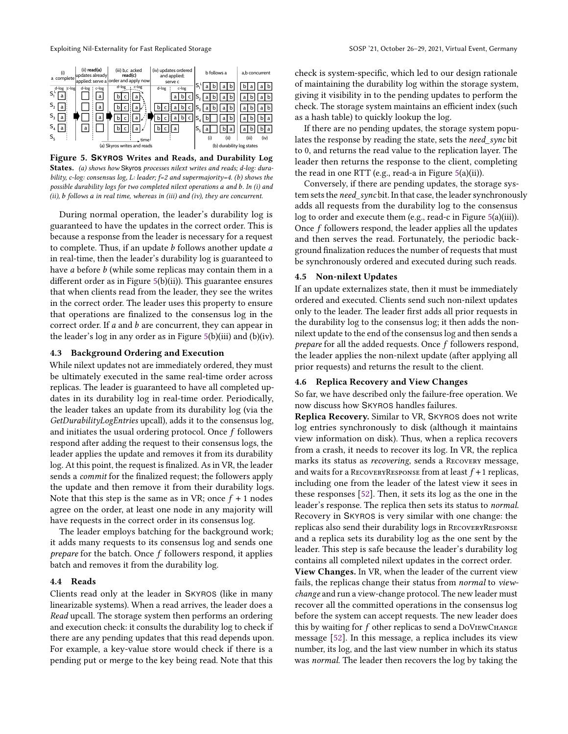<span id="page-6-4"></span>

Figure 5. **SKYROS** Writes and Reads, and Durability Log States. (a) shows how Skyros processes nilext writes and reads; d-log: durability, c-log: consensus log, L: leader; f=2 and supermajority=4. (b) shows the possible durability logs for two completed nilext operations  $a$  and  $b$ . In (i) and (ii),  $b$  follows  $a$  in real time, whereas in (iii) and (iv), they are concurrent.

During normal operation, the leader's durability log is guaranteed to have the updates in the correct order. This is because a response from the leader is necessary for a request to complete. Thus, if an update  $b$  follows another update  $a$ in real-time, then the leader's durability log is guaranteed to have  $a$  before  $b$  (while some replicas may contain them in a different order as in Figure [5\(](#page-6-4)b)(ii)). This guarantee ensures that when clients read from the leader, they see the writes in the correct order. The leader uses this property to ensure that operations are finalized to the consensus log in the correct order. If  $a$  and  $b$  are concurrent, they can appear in the leader's log in any order as in Figure [5\(](#page-6-4)b)(iii) and (b)(iv).

## <span id="page-6-2"></span>4.3 Background Ordering and Execution

While nilext updates not are immediately ordered, they must be ultimately executed in the same real-time order across replicas. The leader is guaranteed to have all completed updates in its durability log in real-time order. Periodically, the leader takes an update from its durability log (via the GetDurabilityLogEntries upcall), adds it to the consensus log, and initiates the usual ordering protocol. Once  $f$  followers respond after adding the request to their consensus logs, the leader applies the update and removes it from its durability log. At this point, the request is finalized. As in VR, the leader sends a commit for the finalized request; the followers apply the update and then remove it from their durability logs. Note that this step is the same as in VR; once  $f + 1$  nodes agree on the order, at least one node in any majority will have requests in the correct order in its consensus log.

The leader employs batching for the background work; it adds many requests to its consensus log and sends one *prepare* for the batch. Once  $f$  followers respond, it applies batch and removes it from the durability log.

#### <span id="page-6-3"></span>4.4 Reads

Clients read only at the leader in SKYROS (like in many linearizable systems). When a read arrives, the leader does a Read upcall. The storage system then performs an ordering and execution check: it consults the durability log to check if there are any pending updates that this read depends upon. For example, a key-value store would check if there is a pending put or merge to the key being read. Note that this

check is system-specific, which led to our design rationale of maintaining the durability log within the storage system, giving it visibility in to the pending updates to perform the check. The storage system maintains an efficient index (such as a hash table) to quickly lookup the log.

If there are no pending updates, the storage system populates the response by reading the state, sets the need sync bit to 0, and returns the read value to the replication layer. The leader then returns the response to the client, completing the read in one RTT (e.g., read-a in Figure [5\(](#page-6-4)a)(ii)).

Conversely, if there are pending updates, the storage system sets the need sync bit. In that case, the leader synchronously adds all requests from the durability log to the consensus log to order and execute them (e.g., read-c in Figure [5\(](#page-6-4)a)(iii)). Once  $f$  followers respond, the leader applies all the updates and then serves the read. Fortunately, the periodic background finalization reduces the number of requests that must be synchronously ordered and executed during such reads.

#### <span id="page-6-0"></span>4.5 Non-nilext Updates

If an update externalizes state, then it must be immediately ordered and executed. Clients send such non-nilext updates only to the leader. The leader first adds all prior requests in the durability log to the consensus log; it then adds the nonnilext update to the end of the consensus log and then sends a *prepare* for all the added requests. Once  $f$  followers respond, the leader applies the non-nilext update (after applying all prior requests) and returns the result to the client.

# <span id="page-6-1"></span>4.6 Replica Recovery and View Changes

So far, we have described only the failure-free operation. We now discuss how SKYROS handles failures.

Replica Recovery. Similar to VR, SKYROS does not write log entries synchronously to disk (although it maintains view information on disk). Thus, when a replica recovers from a crash, it needs to recover its log. In VR, the replica marks its status as recovering, sends a Recovery message, and waits for a RECOVERYRESPONSE from at least  $f+1$  replicas, including one from the leader of the latest view it sees in these responses [\[52\]](#page-15-4). Then, it sets its log as the one in the leader's response. The replica then sets its status to normal. Recovery in SKYROS is very similar with one change: the replicas also send their durability logs in RecoveryResponse and a replica sets its durability log as the one sent by the leader. This step is safe because the leader's durability log contains all completed nilext updates in the correct order.

View Changes. In VR, when the leader of the current view fails, the replicas change their status from normal to viewchange and run a view-change protocol. The new leader must recover all the committed operations in the consensus log before the system can accept requests. The new leader does this by waiting for  $f$  other replicas to send a DoVIEWCHANGE message [\[52\]](#page-15-4). In this message, a replica includes its view number, its log, and the last view number in which its status was normal. The leader then recovers the log by taking the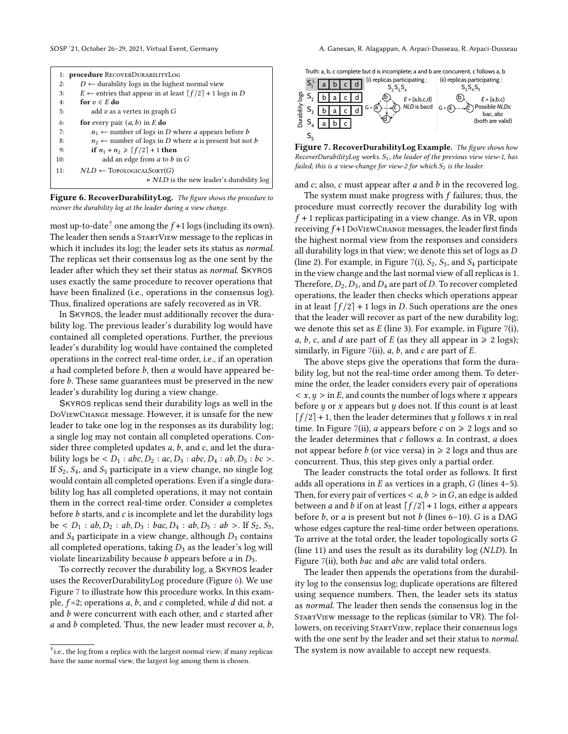<span id="page-7-0"></span>

| 1: procedure RECOVERDURABILITYLOG                                                |
|----------------------------------------------------------------------------------|
| $D \leftarrow$ durability logs in the highest normal view                        |
| $E \leftarrow$ entries that appear in at least $\lceil f/2 \rceil + 1$ logs in D |
| for $v \in E$ do                                                                 |
| add v as a vertex in graph $G$                                                   |
| <b>for</b> every pair $(a, b)$ in E do                                           |
| $n_1 \leftarrow$ number of logs in D where a appears before b                    |
| $n_2 \leftarrow$ number of logs in D where <i>a</i> is present but not <i>b</i>  |
| if $n_1 + n_2 \geqslant \lceil f/2 \rceil + 1$ then                              |
| add an edge from a to b in G                                                     |
| $NLD \leftarrow TopoloGICALSORT(G)$                                              |
| $\triangleright$ NLD is the new leader's durability log                          |
|                                                                                  |

Figure 6. RecoverDurabilityLog. The figure shows the procedure to recover the durability log at the leader during a view change.

most up-to-date<sup>[†](#page-0-0)</sup> one among the  $f+1$  logs (including its own). The leader then sends a StartView message to the replicas in which it includes its log; the leader sets its status as normal. The replicas set their consensus log as the one sent by the leader after which they set their status as normal. SKYROS uses exactly the same procedure to recover operations that have been finalized (i.e., operations in the consensus log). Thus, finalized operations are safely recovered as in VR.

In SKYROS, the leader must additionally recover the durability log. The previous leader's durability log would have contained all completed operations. Further, the previous leader's durability log would have contained the completed operations in the correct real-time order, i.e., if an operation  $a$  had completed before  $b$ , then  $a$  would have appeared before  $b$ . These same guarantees must be preserved in the new leader's durability log during a view change.

SKYROS replicas send their durability logs as well in the DoViewChange message. However, it is unsafe for the new leader to take one log in the responses as its durability log; a single log may not contain all completed operations. Consider three completed updates  $a$ ,  $b$ , and  $c$ , and let the durability logs be <  $D_1$  :  $abc, D_2$  :  $ac, D_3$  :  $abc, D_4$  :  $ab, D_5$  :  $bc$  >. If  $S_2$ ,  $S_4$ , and  $S_5$  participate in a view change, no single log would contain all completed operations. Even if a single durability log has all completed operations, it may not contain them in the correct real-time order. Consider  $a$  completes before  $b$  starts, and  $c$  is incomplete and let the durability logs be  $\langle D_1 : ab, D_2 : ab, D_3 : bac, D_4 : ab, D_5 : ab >.$  If  $S_2, S_3$ , and  $S_4$  participate in a view change, although  $D_3$  contains all completed operations, taking  $D_3$  as the leader's log will violate linearizability because  $b$  appears before  $a$  in  $D_3$ .

To correctly recover the durability log, a SKYROS leader uses the RecoverDurabilityLog procedure (Figure [6\)](#page-7-0). We use Figure [7](#page-7-1) to illustrate how this procedure works. In this example,  $f=2$ ; operations  $a, b$ , and  $c$  completed, while  $d$  did not.  $a$ and  $b$  were concurrent with each other, and  $c$  started after a and b completed. Thus, the new leader must recover  $a, b$ ,

<span id="page-7-1"></span>Truth: a, b, c complete but d is incomplete; a and b are concurrent, c follows a, b



Figure 7. RecoverDurabilityLog Example. The figure shows how RecoverDurabilityLog works.  $S_1$ , the leader of the previous view view-1, has failed; this is a view-change for view-2 for which  $S_2$  is the leader.

and  $c$ ; also,  $c$  must appear after  $a$  and  $b$  in the recovered log.

The system must make progress with  $f$  failures; thus, the procedure must correctly recover the durability log with  $f + 1$  replicas participating in a view change. As in VR, upon receiving  $f+1$  DoVIEWCHANGE messages, the leader first finds the highest normal view from the responses and considers all durability logs in that view; we denote this set of logs as  $D$ (line 2). For example, in Figure [7\(](#page-7-1)i),  $S_2$ ,  $S_3$ , and  $S_4$  participate in the view change and the last normal view of all replicas is 1. Therefore,  $D_2$ ,  $D_3$ , and  $D_4$  are part of D. To recover completed operations, the leader then checks which operations appear in at least  $\lceil f/2 \rceil + 1$  logs in *D*. Such operations are the ones that the leader will recover as part of the new durability log; we denote this set as  $E$  (line 3). For example, in Figure [7\(](#page-7-1)i), a, b, c, and d are part of E (as they all appear in  $\geq 2$  logs); similarly, in Figure [7\(](#page-7-1)ii),  $a$ ,  $b$ , and  $c$  are part of  $E$ .

The above steps give the operations that form the durability log, but not the real-time order among them. To determine the order, the leader considers every pair of operations  $\langle x, y \rangle$  in E, and counts the number of logs where x appears before  $y$  or  $x$  appears but  $y$  does not. If this count is at least  $\lceil f/2 \rceil$  + 1, then the leader determines that  $\psi$  follows  $\chi$  in real time. In Figure [7\(](#page-7-1)ii), *a* appears before *c* on  $\geq 2$  logs and so the leader determines that  $c$  follows  $a$ . In contrast,  $a$  does not appear before *b* (or vice versa) in  $\geq 2$  logs and thus are concurrent. Thus, this step gives only a partial order.

The leader constructs the total order as follows. It first adds all operations in  $E$  as vertices in a graph,  $G$  (lines 4–5). Then, for every pair of vertices  $< a, b >$  in G, an edge is added between *a* and *b* if on at least  $\lceil f/2 \rceil + 1$  logs, either *a* appears before  $b$ , or  $a$  is present but not  $b$  (lines 6–10).  $G$  is a DAG whose edges capture the real-time order between operations. To arrive at the total order, the leader topologically sorts  $G$ (line 11) and uses the result as its durability  $log(NLD)$ . In Figure [7\(](#page-7-1)ii), both *bac* and *abc* are valid total orders.

The leader then appends the operations from the durability log to the consensus log; duplicate operations are filtered using sequence numbers. Then, the leader sets its status as normal. The leader then sends the consensus log in the StartView message to the replicas (similar to VR). The followers, on receiving StartView, replace their consensus logs with the one sent by the leader and set their status to normal. The system is now available to accept new requests.

 $\dagger$ i.e., the log from a replica with the largest normal view: if many replicas have the same normal view, the largest log among them is chosen.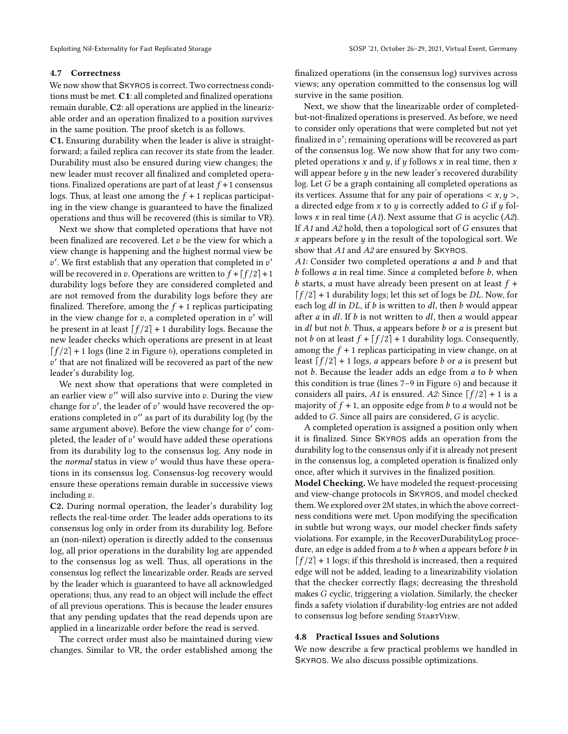#### <span id="page-8-1"></span>4.7 Correctness

We now show that SKYROS is correct. Two correctness conditions must be met. C1: all completed and finalized operations remain durable, C2: all operations are applied in the linearizable order and an operation finalized to a position survives in the same position. The proof sketch is as follows.

C1. Ensuring durability when the leader is alive is straightforward; a failed replica can recover its state from the leader. Durability must also be ensured during view changes; the new leader must recover all finalized and completed operations. Finalized operations are part of at least  $f + 1$  consensus logs. Thus, at least one among the  $f + 1$  replicas participating in the view change is guaranteed to have the finalized operations and thus will be recovered (this is similar to VR).

Next we show that completed operations that have not been finalized are recovered. Let  $v$  be the view for which a view change is happening and the highest normal view be  $v'$ . We first establish that any operation that completed in  $v'$ will be recovered in v. Operations are written to  $f + \lceil f/2 \rceil + 1$ durability logs before they are considered completed and are not removed from the durability logs before they are finalized. Therefore, among the  $f + 1$  replicas participating in the view change for v, a completed operation in v' will be present in at least  $[f/2] + 1$  durability logs. Because the new leader checks which operations are present in at least  $\lceil f/2 \rceil$  + 1 logs (line 2 in Figure [6\)](#page-7-0), operations completed in ′ that are not finalized will be recovered as part of the new leader's durability log.

We next show that operations that were completed in an earlier view  $v''$  will also survive into v. During the view change for  $v'$ , the leader of  $v'$  would have recovered the operations completed in  $v''$  as part of its durability log (by the same argument above). Before the view change for  $v'$  completed, the leader of  $v'$  would have added these operations from its durability log to the consensus log. Any node in the normal status in view  $v'$  would thus have these operations in its consensus log. Consensus-log recovery would ensure these operations remain durable in successive views including  $v$ .

C2. During normal operation, the leader's durability log reflects the real-time order. The leader adds operations to its consensus log only in order from its durability log. Before an (non-nilext) operation is directly added to the consensus log, all prior operations in the durability log are appended to the consensus log as well. Thus, all operations in the consensus log reflect the linearizable order. Reads are served by the leader which is guaranteed to have all acknowledged operations; thus, any read to an object will include the effect of all previous operations. This is because the leader ensures that any pending updates that the read depends upon are applied in a linearizable order before the read is served.

The correct order must also be maintained during view changes. Similar to VR, the order established among the

finalized operations (in the consensus log) survives across views; any operation committed to the consensus log will survive in the same position.

Next, we show that the linearizable order of completedbut-not-finalized operations is preserved. As before, we need to consider only operations that were completed but not yet finalized in v': remaining operations will be recovered as part of the consensus log. We now show that for any two completed operations  $x$  and  $y$ , if  $y$  follows  $x$  in real time, then  $x$ will appear before  $y$  in the new leader's recovered durability  $log.$  Let  $G$  be a graph containing all completed operations as its vertices. Assume that for any pair of operations  $\langle x, y \rangle$ , a directed edge from  $x$  to  $y$  is correctly added to  $G$  if  $y$  follows x in real time  $(A1)$ . Next assume that G is acyclic  $(A2)$ . If  $A1$  and  $A2$  hold, then a topological sort of  $G$  ensures that x appears before  $y$  in the result of the topological sort. We show that A1 and A2 are ensured by SKYROS.

A1: Consider two completed operations  $a$  and  $b$  and that  $b$  follows  $a$  in real time. Since  $a$  completed before  $b$ , when b starts, a must have already been present on at least  $f +$  $\lceil f/2 \rceil$  + 1 durability logs; let this set of logs be DL. Now, for each log  $dl$  in  $DL$ , if  $b$  is written to  $dl$ , then  $b$  would appear after  $a$  in  $dl$ . If  $b$  is not written to  $dl$ , then  $a$  would appear in  $dl$  but not  $b$ . Thus,  $a$  appears before  $b$  or  $a$  is present but not *b* on at least  $f + \lfloor f/2 \rfloor + 1$  durability logs. Consequently, among the  $f + 1$  replicas participating in view change, on at least  $[f/2] + 1$  logs, *a* appears before *b* or *a* is present but not  $b$ . Because the leader adds an edge from  $a$  to  $b$  when this condition is true (lines 7–9 in Figure [6\)](#page-7-0) and because it considers all pairs, A1 is ensured. A2: Since  $[f/2] + 1$  is a majority of  $f + 1$ , an opposite edge from b to a would not be added to  $G$ . Since all pairs are considered,  $G$  is acyclic.

A completed operation is assigned a position only when it is finalized. Since SKYROS adds an operation from the durability log to the consensus only if it is already not present in the consensus log, a completed operation is finalized only once, after which it survives in the finalized position.

Model Checking. We have modeled the request-processing and view-change protocols in SKYROS, and model checked them. We explored over 2M states, in which the above correctness conditions were met. Upon modifying the specification in subtle but wrong ways, our model checker finds safety violations. For example, in the RecoverDurabilityLog procedure, an edge is added from  $a$  to  $b$  when  $a$  appears before  $b$  in  $\lceil f/2 \rceil$  + 1 logs; if this threshold is increased, then a required edge will not be added, leading to a linearizability violation that the checker correctly flags; decreasing the threshold makes G cyclic, triggering a violation. Similarly, the checker finds a safety violation if durability-log entries are not added to consensus log before sending StartView.

## <span id="page-8-0"></span>4.8 Practical Issues and Solutions

We now describe a few practical problems we handled in SKYROS. We also discuss possible optimizations.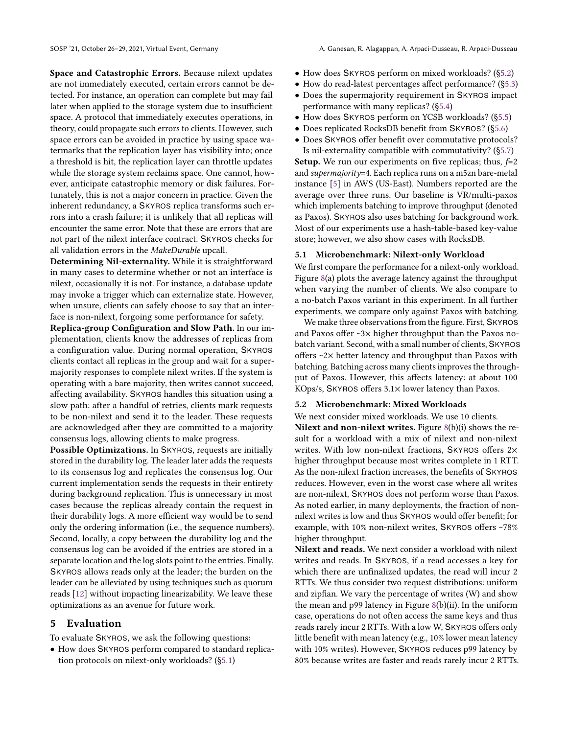Space and Catastrophic Errors. Because nilext updates are not immediately executed, certain errors cannot be detected. For instance, an operation can complete but may fail later when applied to the storage system due to insufficient space. A protocol that immediately executes operations, in theory, could propagate such errors to clients. However, such space errors can be avoided in practice by using space watermarks that the replication layer has visibility into; once a threshold is hit, the replication layer can throttle updates while the storage system reclaims space. One cannot, however, anticipate catastrophic memory or disk failures. Fortunately, this is not a major concern in practice. Given the inherent redundancy, a SKYROS replica transforms such errors into a crash failure; it is unlikely that all replicas will encounter the same error. Note that these are errors that are not part of the nilext interface contract. SKYROS checks for all validation errors in the MakeDurable upcall.

Determining Nil-externality. While it is straightforward in many cases to determine whether or not an interface is nilext, occasionally it is not. For instance, a database update may invoke a trigger which can externalize state. However, when unsure, clients can safely choose to say that an interface is non-nilext, forgoing some performance for safety.

Replica-group Configuration and Slow Path. In our implementation, clients know the addresses of replicas from a configuration value. During normal operation, SKYROS clients contact all replicas in the group and wait for a supermajority responses to complete nilext writes. If the system is operating with a bare majority, then writes cannot succeed, affecting availability. SKYROS handles this situation using a slow path: after a handful of retries, clients mark requests to be non-nilext and send it to the leader. These requests are acknowledged after they are committed to a majority consensus logs, allowing clients to make progress.

Possible Optimizations. In SKYROS, requests are initially stored in the durability log. The leader later adds the requests to its consensus log and replicates the consensus log. Our current implementation sends the requests in their entirety during background replication. This is unnecessary in most cases because the replicas already contain the request in their durability logs. A more efficient way would be to send only the ordering information (i.e., the sequence numbers). Second, locally, a copy between the durability log and the consensus log can be avoided if the entries are stored in a separate location and the log slots point to the entries. Finally, SKYROS allows reads only at the leader; the burden on the leader can be alleviated by using techniques such as quorum reads [\[12\]](#page-14-26) without impacting linearizability. We leave these optimizations as an avenue for future work.

## <span id="page-9-0"></span>5 Evaluation

To evaluate SKYROS, we ask the following questions:

• How does SKYROS perform compared to standard replication protocols on nilext-only workloads? ([§5.1\)](#page-9-1)

- How does SKYROS perform on mixed workloads? ([§5.2\)](#page-9-2)
- How do read-latest percentages affect performance? ([§5.3\)](#page-10-0)
- Does the supermajority requirement in SKYROS impact performance with many replicas? ([§5.4\)](#page-10-1)
- How does SKYROS perform on YCSB workloads? ([§5.5\)](#page-10-2)
- Does replicated RocksDB benefit from SKYROS? ([§5.6\)](#page-11-1)
- Does SKYROS offer benefit over commutative protocols? Is nil-externality compatible with commutativity? ([§5.7\)](#page-11-0)

**Setup.** We run our experiments on five replicas; thus,  $f=2$ and supermajority=4. Each replica runs on a m5zn bare-metal instance [\[5\]](#page-14-27) in AWS (US-East). Numbers reported are the average over three runs. Our baseline is VR/multi-paxos which implements batching to improve throughput (denoted as Paxos). SKYROS also uses batching for background work. Most of our experiments use a hash-table-based key-value store; however, we also show cases with RocksDB.

## <span id="page-9-1"></span>5.1 Microbenchmark: Nilext-only Workload

We first compare the performance for a nilext-only workload. Figure [8\(](#page-10-3)a) plots the average latency against the throughput when varying the number of clients. We also compare to a no-batch Paxos variant in this experiment. In all further experiments, we compare only against Paxos with batching.

We make three observations from the figure. First, SKYROS and Paxos offer ~3× higher throughput than the Paxos nobatch variant. Second, with a small number of clients, SKYROS offers ~2× better latency and throughput than Paxos with batching. Batching across many clients improves the throughput of Paxos. However, this affects latency: at about 100 KOps/s, SKYROS offers 3.1× lower latency than Paxos.

## <span id="page-9-2"></span>5.2 Microbenchmark: Mixed Workloads

We next consider mixed workloads. We use 10 clients. Nilext and non-nilext writes. Figure  $8(b)(i)$  $8(b)(i)$  shows the result for a workload with a mix of nilext and non-nilext writes. With low non-nilext fractions, SKYROS offers 2× higher throughput because most writes complete in 1 RTT. As the non-nilext fraction increases, the benefits of SKYROS reduces. However, even in the worst case where all writes are non-nilext, SKYROS does not perform worse than Paxos. As noted earlier, in many deployments, the fraction of nonnilext writes is low and thus SKYROS would offer benefit; for example, with 10% non-nilext writes, SKYROS offers ~78% higher throughput.

Nilext and reads. We next consider a workload with nilext writes and reads. In SKYROS, if a read accesses a key for which there are unfinalized updates, the read will incur 2 RTTs. We thus consider two request distributions: uniform and zipfian. We vary the percentage of writes (W) and show the mean and p99 latency in Figure [8\(](#page-10-3)b)(ii). In the uniform case, operations do not often access the same keys and thus reads rarely incur 2 RTTs. With a low W, SKYROS offers only little benefit with mean latency (e.g., 10% lower mean latency with 10% writes). However, SKYROS reduces p99 latency by 80% because writes are faster and reads rarely incur 2 RTTs.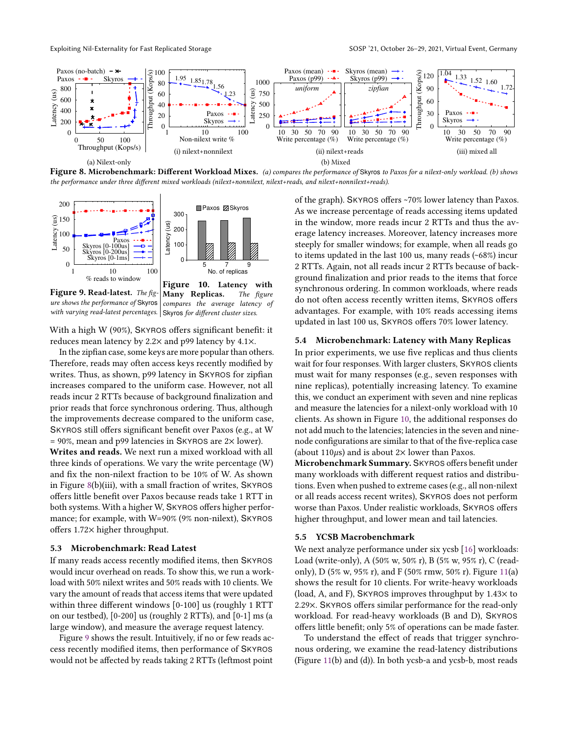<span id="page-10-3"></span>

Figure 8. Microbenchmark: Different Workload Mixes. (a) compares the performance of Skyros to Paxos for a nilext-only workload. (b) shows the performance under three different mixed workloads (nilext+nonnilext, nilext+reads, and nilext+nonnilext+reads).

<span id="page-10-4"></span>

ure shows the performance of Skyros with varying read-latest percentages. Skyros for different cluster sizes. compares the average latency of

With a high W (90%), SKYROS offers significant benefit: it reduces mean latency by 2.2× and p99 latency by 4.1×.

In the zipfian case, some keys are more popular than others. Therefore, reads may often access keys recently modified by writes. Thus, as shown, p99 latency in SKYROS for zipfian increases compared to the uniform case. However, not all reads incur 2 RTTs because of background finalization and prior reads that force synchronous ordering. Thus, although the improvements decrease compared to the uniform case, SKYROS still offers significant benefit over Paxos (e.g., at W  $= 90\%$ , mean and p99 latencies in SKYROS are 2 $\times$  lower).

Writes and reads. We next run a mixed workload with all three kinds of operations. We vary the write percentage (W) and fix the non-nilext fraction to be 10% of W. As shown in Figure [8\(](#page-10-3)b)(iii), with a small fraction of writes, SKYROS offers little benefit over Paxos because reads take 1 RTT in both systems. With a higher W, SKYROS offers higher performance; for example, with W=90% (9% non-nilext), SKYROS offers 1.72× higher throughput.

## <span id="page-10-0"></span>5.3 Microbenchmark: Read Latest

If many reads access recently modified items, then SKYROS would incur overhead on reads. To show this, we run a workload with 50% nilext writes and 50% reads with 10 clients. We vary the amount of reads that access items that were updated within three different windows [0-100] us (roughly 1 RTT on our testbed), [0-200] us (roughly 2 RTTs), and [0-1] ms (a large window), and measure the average request latency.

Figure [9](#page-10-4) shows the result. Intuitively, if no or few reads access recently modified items, then performance of SKYROS would not be affected by reads taking 2 RTTs (leftmost point

of the graph). SKYROS offers ~70% lower latency than Paxos. As we increase percentage of reads accessing items updated in the window, more reads incur 2 RTTs and thus the average latency increases. Moreover, latency increases more steeply for smaller windows; for example, when all reads go to items updated in the last 100 us, many reads (~68%) incur 2 RTTs. Again, not all reads incur 2 RTTs because of background finalization and prior reads to the items that force synchronous ordering. In common workloads, where reads do not often access recently written items, SKYROS offers advantages. For example, with 10% reads accessing items updated in last 100 us, SKYROS offers 70% lower latency.

## <span id="page-10-1"></span>5.4 Microbenchmark: Latency with Many Replicas

In prior experiments, we use five replicas and thus clients wait for four responses. With larger clusters, SKYROS clients must wait for many responses (e.g., seven responses with nine replicas), potentially increasing latency. To examine this, we conduct an experiment with seven and nine replicas and measure the latencies for a nilext-only workload with 10 clients. As shown in Figure [10,](#page-10-4) the additional responses do not add much to the latencies; latencies in the seven and ninenode configurations are similar to that of the five-replica case (about 110 $\mu$ s) and is about 2× lower than Paxos.

Microbenchmark Summary. SKYROS offers benefit under many workloads with different request ratios and distributions. Even when pushed to extreme cases (e.g., all non-nilext or all reads access recent writes), SKYROS does not perform worse than Paxos. Under realistic workloads, SKYROS offers higher throughput, and lower mean and tail latencies.

## <span id="page-10-2"></span>5.5 YCSB Macrobenchmark

We next analyze performance under six ycsb [\[16\]](#page-14-28) workloads: Load (write-only), A (50% w, 50% r), B (5% w, 95% r), C (readonly), D (5% w, 95% r), and F (50% rmw, 50% r). Figure [11\(](#page-11-2)a) shows the result for 10 clients. For write-heavy workloads (load, A, and F), SKYROS improves throughput by 1.43× to 2.29×. SKYROS offers similar performance for the read-only workload. For read-heavy workloads (B and D), SKYROS offers little benefit; only 5% of operations can be made faster.

To understand the effect of reads that trigger synchronous ordering, we examine the read-latency distributions (Figure [11\(](#page-11-2)b) and (d)). In both ycsb-a and ycsb-b, most reads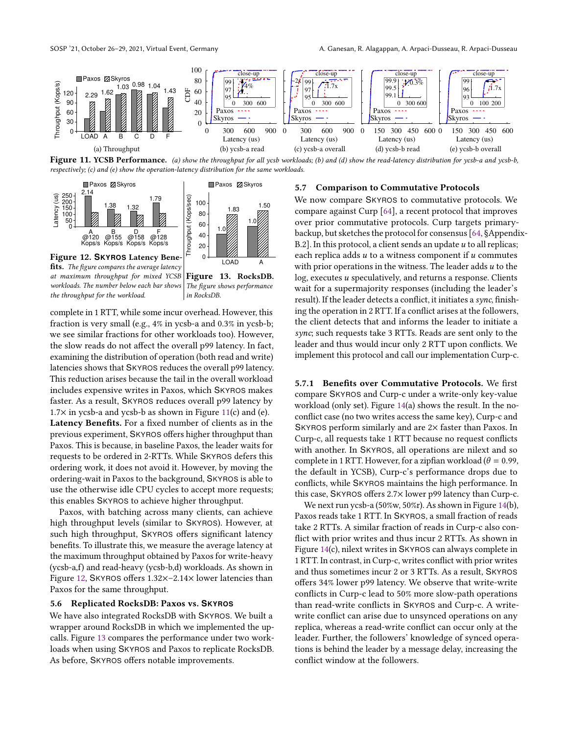<span id="page-11-2"></span>

Figure 11. YCSB Performance. (a) show the throughput for all ycsb workloads; (b) and (d) show the read-latency distribution for ycsb-a and ycsb-b, respectively; (c) and (e) show the operation-latency distribution for the same workloads.

<span id="page-11-3"></span>

fits. The figure compares the average latency at maximum throughput for mixed YCSB workloads. The number below each bar shows The figure shows performance the throughput for the workload.

Figure 13. RocksDB. in RocksDB.

complete in 1 RTT, while some incur overhead. However, this fraction is very small (e.g., 4% in ycsb-a and 0.3% in ycsb-b; we see similar fractions for other workloads too). However, the slow reads do not affect the overall p99 latency. In fact, examining the distribution of operation (both read and write) latencies shows that SKYROS reduces the overall p99 latency. This reduction arises because the tail in the overall workload includes expensive writes in Paxos, which SKYROS makes faster. As a result, SKYROS reduces overall p99 latency by  $1.7\times$  in ycsb-a and ycsb-b as shown in Figure [11\(](#page-11-2)c) and (e). Latency Benefits. For a fixed number of clients as in the previous experiment, SKYROS offers higher throughput than Paxos. This is because, in baseline Paxos, the leader waits for requests to be ordered in 2-RTTs. While SKYROS defers this ordering work, it does not avoid it. However, by moving the ordering-wait in Paxos to the background, SKYROS is able to use the otherwise idle CPU cycles to accept more requests; this enables SKYROS to achieve higher throughput.

Paxos, with batching across many clients, can achieve high throughput levels (similar to SKYROS). However, at such high throughput, SKYROS offers significant latency benefits. To illustrate this, we measure the average latency at the maximum throughput obtained by Paxos for write-heavy (ycsb-a,f) and read-heavy (ycsb-b,d) workloads. As shown in Figure [12,](#page-11-3) SKYROS offers 1.32×–2.14× lower latencies than Paxos for the same throughput.

#### <span id="page-11-1"></span>5.6 Replicated RocksDB: Paxos vs. **SKYROS**

We have also integrated RocksDB with SKYROS. We built a wrapper around RocksDB in which we implemented the upcalls. Figure [13](#page-11-3) compares the performance under two workloads when using SKYROS and Paxos to replicate RocksDB. As before, SKYROS offers notable improvements.

## <span id="page-11-0"></span>5.7 Comparison to Commutative Protocols

We now compare SKYROS to commutative protocols. We compare against Curp [\[64\]](#page-15-8), a recent protocol that improves over prior commutative protocols. Curp targets primarybackup, but sketches the protocol for consensus [\[64,](#page-15-8) §Appendix-B.2]. In this protocol, a client sends an update  $u$  to all replicas; each replica adds  $u$  to a witness component if  $u$  commutes with prior operations in the witness. The leader adds  $u$  to the  $log$ , executes  $u$  speculatively, and returns a response. Clients wait for a supermajority responses (including the leader's result). If the leader detects a conflict, it initiates a sync, finishing the operation in 2 RTT. If a conflict arises at the followers, the client detects that and informs the leader to initiate a sync; such requests take 3 RTTs. Reads are sent only to the leader and thus would incur only 2 RTT upon conflicts. We implement this protocol and call our implementation Curp-c.

5.7.1 Benefits over Commutative Protocols. We first compare SKYROS and Curp-c under a write-only key-value workload (only set). Figure [14\(](#page-12-0)a) shows the result. In the noconflict case (no two writes access the same key), Curp-c and SKYROS perform similarly and are 2× faster than Paxos. In Curp-c, all requests take 1 RTT because no request conflicts with another. In SKYROS, all operations are nilext and so complete in 1 RTT. However, for a zipfian workload ( $\theta = 0.99$ , the default in YCSB), Curp-c's performance drops due to conflicts, while SKYROS maintains the high performance. In this case, SKYROS offers 2.7× lower p99 latency than Curp-c.

We next run ycsb-a (50%w, 50%r). As shown in Figure [14\(](#page-12-0)b), Paxos reads take 1 RTT. In SKYROS, a small fraction of reads take 2 RTTs. A similar fraction of reads in Curp-c also conflict with prior writes and thus incur 2 RTTs. As shown in Figure [14\(](#page-12-0)c), nilext writes in SKYROS can always complete in 1 RTT. In contrast, in Curp-c, writes conflict with prior writes and thus sometimes incur 2 or 3 RTTs. As a result, SKYROS offers 34% lower p99 latency. We observe that write-write conflicts in Curp-c lead to 50% more slow-path operations than read-write conflicts in SKYROS and Curp-c. A writewrite conflict can arise due to unsynced operations on any replica, whereas a read-write conflict can occur only at the leader. Further, the followers' knowledge of synced operations is behind the leader by a message delay, increasing the conflict window at the followers.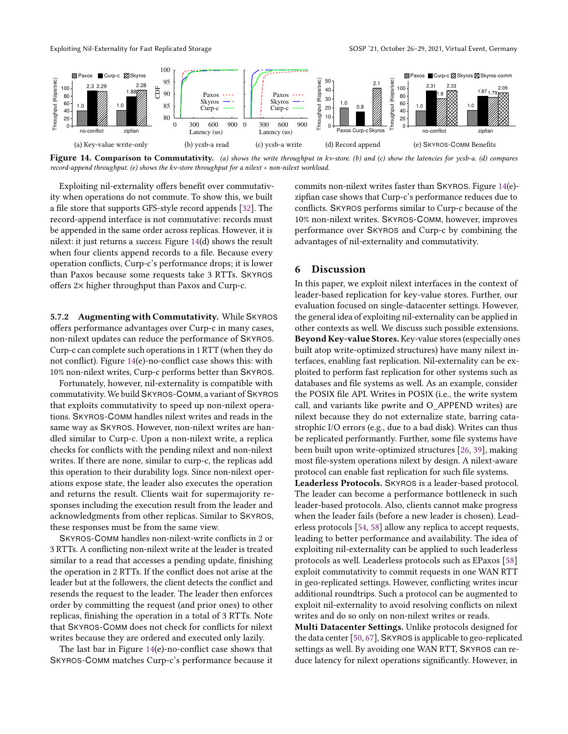Exploiting Nil-Externality for Fast Replicated Storage SOSP '21, October 26-29, 2021, Virtual Event, Germany

<span id="page-12-0"></span>

Figure 14. Comparison to Commutativity. (a) shows the write throughput in kv-store. (b) and (c) show the latencies for ycsb-a. (d) compares record-append throughput. (e) shows the kv-store throughput for a nilext + non-nilext workload.

Exploiting nil-externality offers benefit over commutativity when operations do not commute. To show this, we built a file store that supports GFS-style record appends [\[32\]](#page-14-15). The record-append interface is not commutative: records must be appended in the same order across replicas. However, it is nilext: it just returns a success. Figure [14\(](#page-12-0)d) shows the result when four clients append records to a file. Because every operation conflicts, Curp-c's performance drops; it is lower than Paxos because some requests take 3 RTTs. SKYROS offers 2× higher throughput than Paxos and Curp-c.

5.7.2 Augmenting with Commutativity. While SKYROS offers performance advantages over Curp-c in many cases, non-nilext updates can reduce the performance of SKYROS. Curp-c can complete such operations in 1 RTT (when they do not conflict). Figure [14\(](#page-12-0)e)-no-conflict case shows this: with 10% non-nilext writes, Curp-c performs better than SKYROS.

Fortunately, however, nil-externality is compatible with commutativity. We build SKYROS-COMM, a variant of SKYROS that exploits commutativity to speed up non-nilext operations. SKYROS-COMM handles nilext writes and reads in the same way as SKYROS. However, non-nilext writes are handled similar to Curp-c. Upon a non-nilext write, a replica checks for conflicts with the pending nilext and non-nilext writes. If there are none, similar to curp-c, the replicas add this operation to their durability logs. Since non-nilext operations expose state, the leader also executes the operation and returns the result. Clients wait for supermajority responses including the execution result from the leader and acknowledgments from other replicas. Similar to SKYROS, these responses must be from the same view.

SKYROS-COMM handles non-nilext-write conflicts in 2 or 3 RTTs. A conflicting non-nilext write at the leader is treated similar to a read that accesses a pending update, finishing the operation in 2 RTTs. If the conflict does not arise at the leader but at the followers, the client detects the conflict and resends the request to the leader. The leader then enforces order by committing the request (and prior ones) to other replicas, finishing the operation in a total of 3 RTTs. Note that SKYROS-COMM does not check for conflicts for nilext writes because they are ordered and executed only lazily.

The last bar in Figure [14\(](#page-12-0)e)-no-conflict case shows that SKYROS-COMM matches Curp-c's performance because it

commits non-nilext writes faster than SKYROS. Figure [14\(](#page-12-0)e) zipfian case shows that Curp-c's performance reduces due to conflicts. SKYROS performs similar to Curp-c because of the 10% non-nilext writes. SKYROS-COMM, however, improves performance over SKYROS and Curp-c by combining the advantages of nil-externality and commutativity.

# <span id="page-12-1"></span>6 Discussion

In this paper, we exploit nilext interfaces in the context of leader-based replication for key-value stores. Further, our evaluation focused on single-datacenter settings. However, the general idea of exploiting nil-externality can be applied in other contexts as well. We discuss such possible extensions. Beyond Key-value Stores. Key-value stores (especially ones built atop write-optimized structures) have many nilext interfaces, enabling fast replication. Nil-externality can be exploited to perform fast replication for other systems such as databases and file systems as well. As an example, consider the POSIX file API. Writes in POSIX (i.e., the write system call, and variants like pwrite and O\_APPEND writes) are nilext because they do not externalize state, barring catastrophic I/O errors (e.g., due to a bad disk). Writes can thus be replicated performantly. Further, some file systems have been built upon write-optimized structures [\[26,](#page-14-29) [39\]](#page-15-26), making most file-system operations nilext by design. A nilext-aware protocol can enable fast replication for such file systems.

Leaderless Protocols. SKYROS is a leader-based protocol. The leader can become a performance bottleneck in such leader-based protocols. Also, clients cannot make progress when the leader fails (before a new leader is chosen). Leaderless protocols [\[54,](#page-15-27) [58\]](#page-15-17) allow any replica to accept requests, leading to better performance and availability. The idea of exploiting nil-externality can be applied to such leaderless protocols as well. Leaderless protocols such as EPaxos [\[58\]](#page-15-17) exploit commutativity to commit requests in one WAN RTT in geo-replicated settings. However, conflicting writes incur additional roundtrips. Such a protocol can be augmented to exploit nil-externality to avoid resolving conflicts on nilext writes and do so only on non-nilext writes or reads.

Multi Datacenter Settings. Unlike protocols designed for the data center [\[50,](#page-15-24) [67\]](#page-15-15), SKYROS is applicable to geo-replicated settings as well. By avoiding one WAN RTT, SKYROS can reduce latency for nilext operations significantly. However, in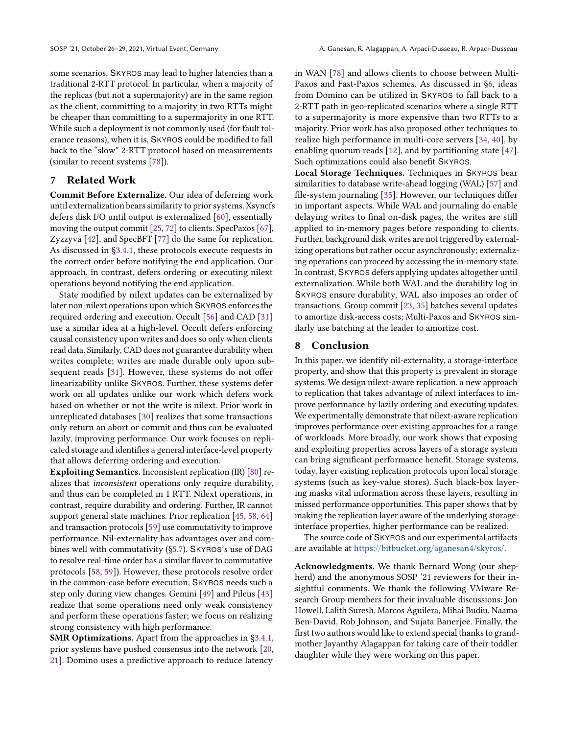some scenarios, SKYROS may lead to higher latencies than a traditional 2-RTT protocol. In particular, when a majority of the replicas (but not a supermajority) are in the same region as the client, committing to a majority in two RTTs might be cheaper than committing to a supermajority in one RTT. While such a deployment is not commonly used (for fault tolerance reasons), when it is, SKYROS could be modified to fall back to the "slow" 2-RTT protocol based on measurements (similar to recent systems [\[78\]](#page-16-7)).

# **Related Work**

Commit Before Externalize. Our idea of deferring work until externalization bears similarity to prior systems. Xsyncfs defers disk I/O until output is externalized [\[60\]](#page-15-11), essentially moving the output commit [\[25,](#page-14-30) [72\]](#page-16-8) to clients. SpecPaxos [\[67\]](#page-15-15), Zyzzyva [\[42\]](#page-15-14), and SpecBFT [\[77\]](#page-16-9) do the same for replication. As discussed in [§3.4.1,](#page-4-1) these protocols execute requests in the correct order before notifying the end application. Our approach, in contrast, defers ordering or executing nilext operations beyond notifying the end application.

State modified by nilext updates can be externalized by later non-nilext operations upon which SKYROS enforces the required ordering and execution. Occult [\[56\]](#page-15-28) and CAD [\[31\]](#page-14-6) use a similar idea at a high-level. Occult defers enforcing causal consistency upon writes and does so only when clients read data. Similarly, CAD does not guarantee durability when writes complete; writes are made durable only upon subsequent reads [\[31\]](#page-14-6). However, these systems do not offer linearizability unlike SKYROS. Further, these systems defer work on all updates unlike our work which defers work based on whether or not the write is nilext. Prior work in unreplicated databases [\[30\]](#page-14-14) realizes that some transactions only return an abort or commit and thus can be evaluated lazily, improving performance. Our work focuses on replicated storage and identifies a general interface-level property that allows deferring ordering and execution.

Exploiting Semantics. Inconsistent replication (IR) [\[80\]](#page-16-1) realizes that inconsistent operations only require durability, and thus can be completed in 1 RTT. Nilext operations, in contrast, require durability and ordering. Further, IR cannot support general state machines. Prior replication [\[45,](#page-15-16) [58,](#page-15-17) [64\]](#page-15-8) and transaction protocols [\[59\]](#page-15-29) use commutativity to improve performance. Nil-externality has advantages over and combines well with commutativity ([§5.7\)](#page-11-0). SKYROS's use of DAG to resolve real-time order has a similar flavor to commutative protocols [\[58,](#page-15-17) [59\]](#page-15-29)). However, these protocols resolve order in the common-case before execution; SKYROS needs such a step only during view changes. Gemini [\[49\]](#page-15-30) and Pileus [\[43\]](#page-15-31) realize that some operations need only weak consistency and perform these operations faster; we focus on realizing strong consistency with high performance.

SMR Optimizations. Apart from the approaches in [§3.4.1,](#page-4-1) prior systems have pushed consensus into the network [\[20,](#page-14-31) [21\]](#page-14-20). Domino uses a predictive approach to reduce latency in WAN [\[78\]](#page-16-7) and allows clients to choose between Multi-Paxos and Fast-Paxos schemes. As discussed in [§6,](#page-12-1) ideas from Domino can be utilized in SKYROS to fall back to a 2-RTT path in geo-replicated scenarios where a single RTT to a supermajority is more expensive than two RTTs to a majority. Prior work has also proposed other techniques to realize high performance in multi-core servers [\[34,](#page-14-32) [40\]](#page-15-32), by enabling quorum reads [\[12\]](#page-14-26), and by partitioning state [\[47\]](#page-15-33). Such optimizations could also benefit SKYROS.

Local Storage Techniques. Techniques in SKYROS bear similarities to database write-ahead logging (WAL) [\[57\]](#page-15-34) and file-system journaling [\[35\]](#page-14-33). However, our techniques differ in important aspects. While WAL and journaling do enable delaying writes to final on-disk pages, the writes are still applied to in-memory pages before responding to clients. Further, background disk writes are not triggered by externalizing operations but rather occur asynchronously; externalizing operations can proceed by accessing the in-memory state. In contrast, SKYROS defers applying updates altogether until externalization. While both WAL and the durability log in SKYROS ensure durability, WAL also imposes an order of transactions. Group commit [\[23,](#page-14-34) [35\]](#page-14-33) batches several updates to amortize disk-access costs; Multi-Paxos and SKYROS similarly use batching at the leader to amortize cost.

# 8 Conclusion

In this paper, we identify nil-externality, a storage-interface property, and show that this property is prevalent in storage systems. We design nilext-aware replication, a new approach to replication that takes advantage of nilext interfaces to improve performance by lazily ordering and executing updates. We experimentally demonstrate that nilext-aware replication improves performance over existing approaches for a range of workloads. More broadly, our work shows that exposing and exploiting properties across layers of a storage system can bring significant performance benefit. Storage systems, today, layer existing replication protocols upon local storage systems (such as key-value stores). Such black-box layering masks vital information across these layers, resulting in missed performance opportunities. This paper shows that by making the replication layer aware of the underlying storageinterface properties, higher performance can be realized.

The source code of SKYROS and our experimental artifacts are available at [https://bitbucket.org/aganesan4/skyros/.](https://bitbucket.org/aganesan4/skyros/)

Acknowledgments. We thank Bernard Wong (our shepherd) and the anonymous SOSP '21 reviewers for their insightful comments. We thank the following VMware Research Group members for their invaluable discussions: Jon Howell, Lalith Suresh, Marcos Aguilera, Mihai Budiu, Naama Ben-David, Rob Johnson, and Sujata Banerjee. Finally, the first two authors would like to extend special thanks to grandmother Jayanthy Alagappan for taking care of their toddler daughter while they were working on this paper.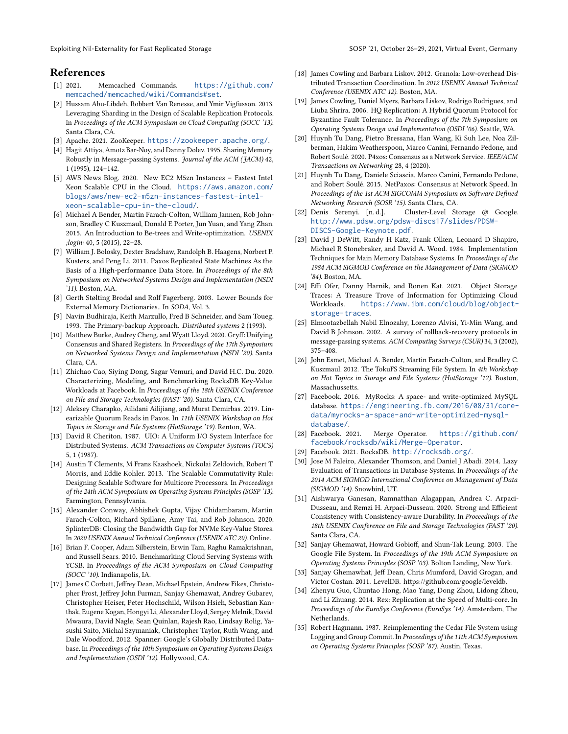# References

- <span id="page-14-11"></span>[1] 2021. Memcached Commands. [https://github.com/](https://github.com/memcached/memcached/wiki/Commands#set) [memcached/memcached/wiki/Commands#set](https://github.com/memcached/memcached/wiki/Commands#set).
- <span id="page-14-24"></span>[2] Hussam Abu-Libdeh, Robbert Van Renesse, and Ymir Vigfusson. 2013. Leveraging Sharding in the Design of Scalable Replication Protocols. In Proceedings of the ACM Symposium on Cloud Computing (SOCC '13). Santa Clara, CA.
- <span id="page-14-21"></span>[3] Apache. 2021. ZooKeeper. <https://zookeeper.apache.org/>.
- <span id="page-14-22"></span>[4] Hagit Attiya, Amotz Bar-Noy, and Danny Dolev. 1995. Sharing Memory Robustly in Message-passing Systems. Journal of the ACM (JACM) 42, 1 (1995), 124–142.
- <span id="page-14-27"></span>[5] AWS News Blog. 2020. New EC2 M5zn Instances – Fastest Intel Xeon Scalable CPU in the Cloud. [https://aws.amazon.com/](https://aws.amazon.com/blogs/aws/new-ec2-m5zn-instances-fastest-intel-xeon-scalable-cpu-in-the-cloud/) [blogs/aws/new-ec2-m5zn-instances-fastest-intel](https://aws.amazon.com/blogs/aws/new-ec2-m5zn-instances-fastest-intel-xeon-scalable-cpu-in-the-cloud/)[xeon-scalable-cpu-in-the-cloud/](https://aws.amazon.com/blogs/aws/new-ec2-m5zn-instances-fastest-intel-xeon-scalable-cpu-in-the-cloud/).
- <span id="page-14-10"></span>[6] Michael A Bender, Martin Farach-Colton, William Jannen, Rob Johnson, Bradley C Kuszmaul, Donald E Porter, Jun Yuan, and Yang Zhan. 2015. An Introduction to Be-trees and Write-optimization. USENIX ;login: 40, 5 (2015), 22–28.
- <span id="page-14-2"></span>[7] William J. Bolosky, Dexter Bradshaw, Randolph B. Haagens, Norbert P. Kusters, and Peng Li. 2011. Paxos Replicated State Machines As the Basis of a High-performance Data Store. In Proceedings of the 8th Symposium on Networked Systems Design and Implementation (NSDI '11). Boston, MA.
- <span id="page-14-9"></span>[8] Gerth Stølting Brodal and Rolf Fagerberg. 2003. Lower Bounds for External Memory Dictionaries.. In SODA, Vol. 3.
- <span id="page-14-23"></span>[9] Navin Budhiraja, Keith Marzullo, Fred B Schneider, and Sam Toueg. 1993. The Primary-backup Approach. Distributed systems 2 (1993).
- <span id="page-14-19"></span>[10] Matthew Burke, Audrey Cheng, and Wyatt Lloyd. 2020. Gryff: Unifying Consensus and Shared Registers. In Proceedings of the 17th Symposium on Networked Systems Design and Implementation (NSDI '20). Santa Clara, CA.
- <span id="page-14-12"></span>[11] Zhichao Cao, Siying Dong, Sagar Vemuri, and David H.C. Du. 2020. Characterizing, Modeling, and Benchmarking RocksDB Key-Value Workloads at Facebook. In Proceedings of the 18th USENIX Conference on File and Storage Technologies (FAST '20). Santa Clara, CA.
- <span id="page-14-26"></span>[12] Aleksey Charapko, Ailidani Ailijiang, and Murat Demirbas. 2019. Linearizable Quorum Reads in Paxos. In 11th USENIX Workshop on Hot Topics in Storage and File Systems (HotStorage '19). Renton, WA.
- <span id="page-14-0"></span>[13] David R Cheriton. 1987. UIO: A Uniform I/O System Interface for Distributed Systems. ACM Transactions on Computer Systems (TOCS) 5, 1 (1987).
- <span id="page-14-1"></span>[14] Austin T Clements, M Frans Kaashoek, Nickolai Zeldovich, Robert T Morris, and Eddie Kohler. 2013. The Scalable Commutativity Rule: Designing Scalable Software for Multicore Processors. In Proceedings of the 24th ACM Symposium on Operating Systems Principles (SOSP '13). Farmington, Pennsylvania.
- <span id="page-14-18"></span>[15] Alexander Conway, Abhishek Gupta, Vijay Chidambaram, Martin Farach-Colton, Richard Spillane, Amy Tai, and Rob Johnson. 2020. SplinterDB: Closing the Bandwidth Gap for NVMe Key-Value Stores. In 2020 USENIX Annual Technical Conference (USENIX ATC 20). Online.
- <span id="page-14-28"></span>[16] Brian F. Cooper, Adam Silberstein, Erwin Tam, Raghu Ramakrishnan, and Russell Sears. 2010. Benchmarking Cloud Serving Systems with YCSB. In Proceedings of the ACM Symposium on Cloud Computing (SOCC '10). Indianapolis, IA.
- <span id="page-14-3"></span>[17] James C Corbett, Jeffrey Dean, Michael Epstein, Andrew Fikes, Christopher Frost, Jeffrey John Furman, Sanjay Ghemawat, Andrey Gubarev, Christopher Heiser, Peter Hochschild, Wilson Hsieh, Sebastian Kanthak, Eugene Kogan, Hongyi Li, Alexander Lloyd, Sergey Melnik, David Mwaura, David Nagle, Sean Quinlan, Rajesh Rao, Lindsay Rolig, Yasushi Saito, Michal Szymaniak, Christopher Taylor, Ruth Wang, and Dale Woodford. 2012. Spanner: Google's Globally Distributed Database. In Proceedings of the 10th Symposium on Operating Systems Design and Implementation (OSDI '12). Hollywood, CA.
- <span id="page-14-4"></span>[18] James Cowling and Barbara Liskov. 2012. Granola: Low-overhead Distributed Transaction Coordination. In 2012 USENIX Annual Technical Conference (USENIX ATC 12). Boston, MA.
- <span id="page-14-25"></span>[19] James Cowling, Daniel Myers, Barbara Liskov, Rodrigo Rodrigues, and Liuba Shrira. 2006. HQ Replication: A Hybrid Quorum Protocol for Byzantine Fault Tolerance. In Proceedings of the 7th Symposium on Operating Systems Design and Implementation (OSDI '06). Seattle, WA.
- <span id="page-14-31"></span>[20] Huynh Tu Dang, Pietro Bressana, Han Wang, Ki Suh Lee, Noa Zilberman, Hakim Weatherspoon, Marco Canini, Fernando Pedone, and Robert Soulé. 2020. P4xos: Consensus as a Network Service. IEEE/ACM Transactions on Networking 28, 4 (2020).
- <span id="page-14-20"></span>[21] Huynh Tu Dang, Daniele Sciascia, Marco Canini, Fernando Pedone, and Robert Soulé. 2015. NetPaxos: Consensus at Network Speed. In Proceedings of the 1st ACM SIGCOMM Symposium on Software Defined Networking Research (SOSR '15). Santa Clara, CA.
- <span id="page-14-5"></span>[22] Denis Serenyi. [n. d.]. Cluster-Level Storage @ Google. [http://www.pdsw.org/pdsw-discs17/slides/PDSW-](http://www.pdsw.org/pdsw-discs17/slides/PDSW-DISCS-Google-Keynote.pdf)[DISCS-Google-Keynote.pdf](http://www.pdsw.org/pdsw-discs17/slides/PDSW-DISCS-Google-Keynote.pdf).
- <span id="page-14-34"></span>[23] David J DeWitt, Randy H Katz, Frank Olken, Leonard D Shapiro, Michael R Stonebraker, and David A. Wood. 1984. Implementation Techniques for Main Memory Database Systems. In Proceedings of the 1984 ACM SIGMOD Conference on the Management of Data (SIGMOD '84). Boston, MA.
- <span id="page-14-13"></span>[24] Effi Ofer, Danny Harnik, and Ronen Kat. 2021. Object Storage Traces: A Treasure Trove of Information for Optimizing Cloud Workloads. [https://www.ibm.com/cloud/blog/object](https://www.ibm.com/cloud/blog/object-storage-traces)[storage-traces](https://www.ibm.com/cloud/blog/object-storage-traces).
- <span id="page-14-30"></span>[25] Elmootazbellah Nabil Elnozahy, Lorenzo Alvisi, Yi-Min Wang, and David B Johnson. 2002. A survey of rollback-recovery protocols in message-passing systems. ACM Computing Surveys (CSUR) 34, 3 (2002), 375–408.
- <span id="page-14-29"></span>[26] John Esmet, Michael A. Bender, Martin Farach-Colton, and Bradley C. Kuszmaul. 2012. The TokuFS Streaming File System. In 4th Workshop on Hot Topics in Storage and File Systems (HotStorage '12). Boston, Massachussetts.
- <span id="page-14-16"></span>[27] Facebook. 2016. MyRocks: A space- and write-optimized MySQL database. [https://engineering.fb.com/2016/08/31/core](https://engineering.fb.com/2016/08/31/core-data/myrocks-a-space-and-write-optimized-mysql-database/)[data/myrocks-a-space-and-write-optimized-mysql](https://engineering.fb.com/2016/08/31/core-data/myrocks-a-space-and-write-optimized-mysql-database/)[database/](https://engineering.fb.com/2016/08/31/core-data/myrocks-a-space-and-write-optimized-mysql-database/).
- <span id="page-14-17"></span>[28] Facebook. 2021. Merge Operator. [https://github.com/](https://github.com/facebook/rocksdb/wiki/Merge-Operator) [facebook/rocksdb/wiki/Merge-Operator](https://github.com/facebook/rocksdb/wiki/Merge-Operator).
- <span id="page-14-7"></span>[29] Facebook. 2021. RocksDB. <http://rocksdb.org/>.
- <span id="page-14-14"></span>[30] Jose M Faleiro, Alexander Thomson, and Daniel J Abadi. 2014. Lazy Evaluation of Transactions in Database Systems. In Proceedings of the 2014 ACM SIGMOD International Conference on Management of Data (SIGMOD '14). Snowbird, UT.
- <span id="page-14-6"></span>[31] Aishwarya Ganesan, Ramnatthan Alagappan, Andrea C. Arpaci-Dusseau, and Remzi H. Arpaci-Dusseau. 2020. Strong and Efficient Consistency with Consistency-aware Durability. In Proceedings of the 18th USENIX Conference on File and Storage Technologies (FAST '20). Santa Clara, CA.
- <span id="page-14-15"></span>[32] Sanjay Ghemawat, Howard Gobioff, and Shun-Tak Leung. 2003. The Google File System. In Proceedings of the 19th ACM Symposium on Operating Systems Principles (SOSP '03). Bolton Landing, New York.
- <span id="page-14-8"></span>[33] Sanjay Ghemawhat, Jeff Dean, Chris Mumford, David Grogan, and Victor Costan. 2011. LevelDB. https://github.com/google/leveldb.
- <span id="page-14-32"></span>[34] Zhenyu Guo, Chuntao Hong, Mao Yang, Dong Zhou, Lidong Zhou, and Li Zhuang. 2014. Rex: Replication at the Speed of Multi-core. In Proceedings of the EuroSys Conference (EuroSys '14). Amsterdam, The Netherlands.
- <span id="page-14-33"></span>[35] Robert Hagmann. 1987. Reimplementing the Cedar File System using Logging and Group Commit. In Proceedings of the 11th ACM Symposium on Operating Systems Principles (SOSP '87). Austin, Texas.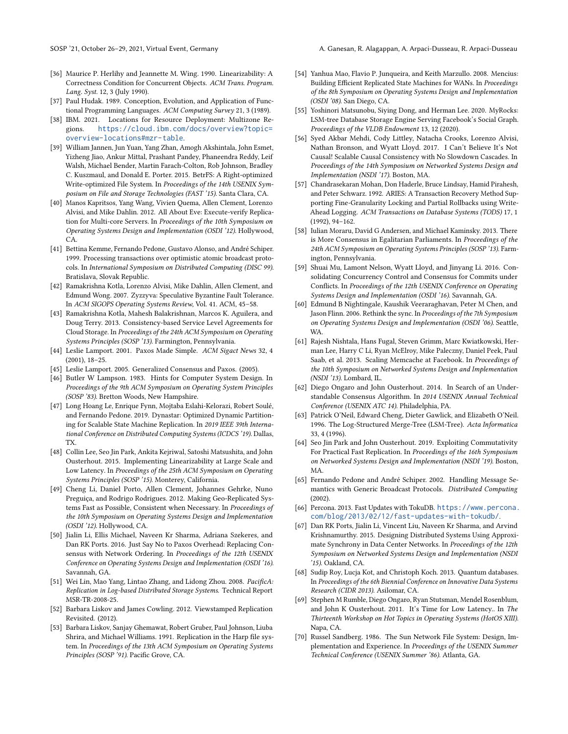- <span id="page-15-2"></span>[36] Maurice P. Herlihy and Jeannette M. Wing. 1990. Linearizability: A Correctness Condition for Concurrent Objects. ACM Trans. Program. Lang. Syst. 12, 3 (July 1990).
- <span id="page-15-10"></span>[37] Paul Hudak. 1989. Conception, Evolution, and Application of Functional Programming Languages. ACM Computing Survey 21, 3 (1989).
- <span id="page-15-23"></span>[38] IBM. 2021. Locations for Resource Deployment: Multizone Regions. [https://cloud.ibm.com/docs/overview?topic=](https://cloud.ibm.com/docs/overview?topic=overview-locations#mzr-table) [overview-locations#mzr-table](https://cloud.ibm.com/docs/overview?topic=overview-locations#mzr-table).
- <span id="page-15-26"></span>[39] William Jannen, Jun Yuan, Yang Zhan, Amogh Akshintala, John Esmet, Yizheng Jiao, Ankur Mittal, Prashant Pandey, Phaneendra Reddy, Leif Walsh, Michael Bender, Martin Farach-Colton, Rob Johnson, Bradley C. Kuszmaul, and Donald E. Porter. 2015. BetrFS: A Right-optimized Write-optimized File System. In Proceedings of the 14th USENIX Symposium on File and Storage Technologies (FAST '15). Santa Clara, CA.
- <span id="page-15-32"></span>[40] Manos Kapritsos, Yang Wang, Vivien Quema, Allen Clement, Lorenzo Alvisi, and Mike Dahlin. 2012. All About Eve: Execute-verify Replication for Multi-core Servers. In Proceedings of the 10th Symposium on Operating Systems Design and Implementation (OSDI '12). Hollywood, CA.
- <span id="page-15-13"></span>[41] Bettina Kemme, Fernando Pedone, Gustavo Alonso, and André Schiper. 1999. Processing transactions over optimistic atomic broadcast protocols. In International Symposium on Distributed Computing (DISC 99). Bratislava, Slovak Republic.
- <span id="page-15-14"></span>[42] Ramakrishna Kotla, Lorenzo Alvisi, Mike Dahlin, Allen Clement, and Edmund Wong. 2007. Zyzzyva: Speculative Byzantine Fault Tolerance. In ACM SIGOPS Operating Systems Review, Vol. 41. ACM, 45–58.
- <span id="page-15-31"></span>[43] Ramakrishna Kotla, Mahesh Balakrishnan, Marcos K. Aguilera, and Doug Terry. 2013. Consistency-based Service Level Agreements for Cloud Storage. In Proceedings of the 24th ACM Symposium on Operating Systems Principles (SOSP '13). Farmington, Pennsylvania.
- <span id="page-15-3"></span>[44] Leslie Lamport. 2001. Paxos Made Simple. ACM Sigact News 32, 4 (2001), 18–25.
- <span id="page-15-16"></span>[45] Leslie Lamport. 2005. Generalized Consensus and Paxos. (2005).
- <span id="page-15-0"></span>[46] Butler W Lampson. 1983. Hints for Computer System Design. In Proceedings of the 9th ACM Symposium on Operating System Principles (SOSP '83). Bretton Woods, New Hampshire.
- <span id="page-15-33"></span>[47] Long Hoang Le, Enrique Fynn, Mojtaba Eslahi-Kelorazi, Robert Soulé, and Fernando Pedone. 2019. Dynastar: Optimized Dynamic Partitioning for Scalable State Machine Replication. In 2019 IEEE 39th International Conference on Distributed Computing Systems (ICDCS '19). Dallas, TX.
- <span id="page-15-7"></span>[48] Collin Lee, Seo Jin Park, Ankita Kejriwal, Satoshi Matsushita, and John Ousterhout. 2015. Implementing Linearizability at Large Scale and Low Latency. In Proceedings of the 25th ACM Symposium on Operating Systems Principles (SOSP '15). Monterey, California.
- <span id="page-15-30"></span>[49] Cheng Li, Daniel Porto, Allen Clement, Johannes Gehrke, Nuno Preguiça, and Rodrigo Rodrigues. 2012. Making Geo-Replicated Systems Fast as Possible, Consistent when Necessary. In Proceedings of the 10th Symposium on Operating Systems Design and Implementation (OSDI '12). Hollywood, CA.
- <span id="page-15-24"></span>[50] Jialin Li, Ellis Michael, Naveen Kr Sharma, Adriana Szekeres, and Dan RK Ports. 2016. Just Say No to Paxos Overhead: Replacing Consensus with Network Ordering. In Proceedings of the 12th USENIX Conference on Operating Systems Design and Implementation (OSDI '16). Savannah, GA.
- <span id="page-15-25"></span>[51] Wei Lin, Mao Yang, Lintao Zhang, and Lidong Zhou. 2008. PacificA: Replication in Log-based Distributed Storage Systems. Technical Report MSR-TR-2008-25.
- <span id="page-15-4"></span>[52] Barbara Liskov and James Cowling. 2012. Viewstamped Replication Revisited. (2012).
- <span id="page-15-6"></span>[53] Barbara Liskov, Sanjay Ghemawat, Robert Gruber, Paul Johnson, Liuba Shrira, and Michael Williams. 1991. Replication in the Harp file system. In Proceedings of the 13th ACM Symposium on Operating Systems Principles (SOSP '91). Pacific Grove, CA.
- <span id="page-15-27"></span>[54] Yanhua Mao, Flavio P. Junqueira, and Keith Marzullo. 2008. Mencius: Building Efficient Replicated State Machines for WANs. In Proceedings of the 8th Symposium on Operating Systems Design and Implementation (OSDI '08). San Diego, CA.
- <span id="page-15-19"></span>[55] Yoshinori Matsunobu, Siying Dong, and Herman Lee. 2020. MyRocks: LSM-tree Database Storage Engine Serving Facebook's Social Graph. Proceedings of the VLDB Endowment 13, 12 (2020).
- <span id="page-15-28"></span>[56] Syed Akbar Mehdi, Cody Littley, Natacha Crooks, Lorenzo Alvisi, Nathan Bronson, and Wyatt Lloyd. 2017. I Can't Believe It's Not Causal! Scalable Causal Consistency with No Slowdown Cascades. In Proceedings of the 14th Symposium on Networked Systems Design and Implementation (NSDI '17). Boston, MA.
- <span id="page-15-34"></span>[57] Chandrasekaran Mohan, Don Haderle, Bruce Lindsay, Hamid Pirahesh, and Peter Schwarz. 1992. ARIES: A Transaction Recovery Method Supporting Fine-Granularity Locking and Partial Rollbacks using Write-Ahead Logging. ACM Transactions on Database Systems (TODS) 17, 1 (1992), 94–162.
- <span id="page-15-17"></span>[58] Iulian Moraru, David G Andersen, and Michael Kaminsky. 2013. There is More Consensus in Egalitarian Parliaments. In Proceedings of the 24th ACM Symposium on Operating Systems Principles (SOSP '13). Farmington, Pennsylvania.
- <span id="page-15-29"></span>[59] Shuai Mu, Lamont Nelson, Wyatt Lloyd, and Jinyang Li. 2016. Consolidating Concurrency Control and Consensus for Commits under Conflicts. In Proceedings of the 12th USENIX Conference on Operating Systems Design and Implementation (OSDI '16). Savannah, GA.
- <span id="page-15-11"></span>[60] Edmund B Nightingale, Kaushik Veeraraghavan, Peter M Chen, and Jason Flinn. 2006. Rethink the sync. In Proceedings of the 7th Symposium on Operating Systems Design and Implementation (OSDI '06). Seattle, WA.
- <span id="page-15-20"></span>[61] Rajesh Nishtala, Hans Fugal, Steven Grimm, Marc Kwiatkowski, Herman Lee, Harry C Li, Ryan McElroy, Mike Paleczny, Daniel Peek, Paul Saab, et al. 2013. Scaling Memcache at Facebook. In Proceedings of the 10th Symposium on Networked Systems Design and Implementation (NSDI '13). Lombard, IL.
- <span id="page-15-5"></span>[62] Diego Ongaro and John Ousterhout. 2014. In Search of an Understandable Consensus Algorithm. In 2014 USENIX Annual Technical Conference (USENIX ATC 14). Philadelphia, PA.
- <span id="page-15-9"></span>[63] Patrick O'Neil, Edward Cheng, Dieter Gawlick, and Elizabeth O'Neil. 1996. The Log-Structured Merge-Tree (LSM-Tree). Acta Informatica 33, 4 (1996).
- <span id="page-15-8"></span>[64] Seo Jin Park and John Ousterhout. 2019. Exploiting Commutativity For Practical Fast Replication. In Proceedings of the 16th Symposium on Networked Systems Design and Implementation (NSDI '19). Boston, MA.
- <span id="page-15-18"></span>[65] Fernando Pedone and André Schiper. 2002. Handling Message Semantics with Generic Broadcast Protocols. Distributed Computing (2002).
- <span id="page-15-21"></span>[66] Percona. 2013. Fast Updates with TokuDB. [https://www.percona.](https://www.percona.com/blog/2013/02/12/fast-updates-with-tokudb/) [com/blog/2013/02/12/fast-updates-with-tokudb/](https://www.percona.com/blog/2013/02/12/fast-updates-with-tokudb/).
- <span id="page-15-15"></span>[67] Dan RK Ports, Jialin Li, Vincent Liu, Naveen Kr Sharma, and Arvind Krishnamurthy. 2015. Designing Distributed Systems Using Approximate Synchrony in Data Center Networks. In Proceedings of the 12th Symposium on Networked Systems Design and Implementation (NSDI '15). Oakland, CA.
- <span id="page-15-12"></span>[68] Sudip Roy, Lucja Kot, and Christoph Koch. 2013. Quantum databases. In Proceedings of the 6th Biennial Conference on Innovative Data Systems Research (CIDR 2013). Asilomar, CA.
- <span id="page-15-22"></span>[69] Stephen M Rumble, Diego Ongaro, Ryan Stutsman, Mendel Rosenblum, and John K Ousterhout. 2011. It's Time for Low Latency.. In The Thirteenth Workshop on Hot Topics in Operating Systems (HotOS XIII). Napa, CA.
- <span id="page-15-1"></span>[70] Russel Sandberg. 1986. The Sun Network File System: Design, Implementation and Experience. In Proceedings of the USENIX Summer Technical Conference (USENIX Summer '86). Atlanta, GA.